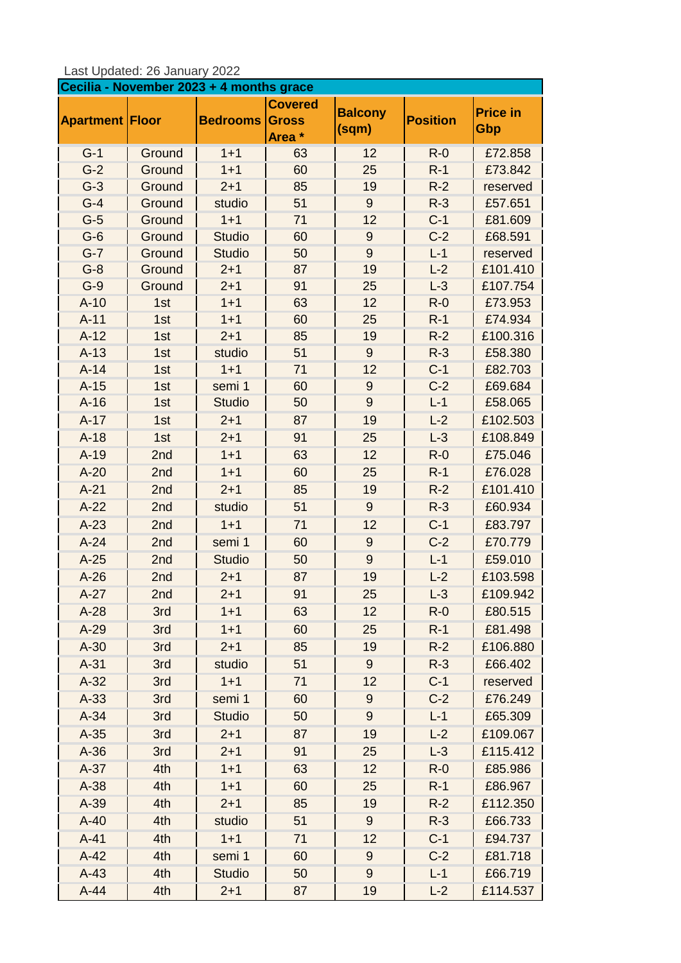| Last Updated: 26 January 2022 |  |  |
|-------------------------------|--|--|
|-------------------------------|--|--|

| Cecilia - November 2023 + 4 months grace |            |                    |                                          |                         |                 |                        |
|------------------------------------------|------------|--------------------|------------------------------------------|-------------------------|-----------------|------------------------|
| <b>Apartment Floor</b>                   |            | <b>Bedrooms</b>    | <b>Covered</b><br><b>Gross</b><br>Area * | <b>Balcony</b><br>(sqm) | <b>Position</b> | <b>Price in</b><br>Gbp |
| $G-1$                                    | Ground     | $1 + 1$            | 63                                       | 12                      | $R - 0$         | £72.858                |
| $G-2$                                    | Ground     | $1 + 1$            | 60                                       | 25                      | $R-1$           | £73.842                |
| $G-3$                                    | Ground     | $2 + 1$            | 85                                       | 19                      | $R-2$           | reserved               |
| $G-4$                                    | Ground     | studio             | 51                                       | 9                       | $R-3$           | £57.651                |
| $G-5$                                    | Ground     | $1 + 1$            | 71                                       | 12                      | $C-1$           | £81.609                |
| $G-6$                                    | Ground     | <b>Studio</b>      | 60                                       | $9\,$                   | $C-2$           | £68.591                |
| $G-7$                                    | Ground     | <b>Studio</b>      | 50                                       | 9                       | $L-1$           | reserved               |
| $G-8$                                    | Ground     | $2 + 1$            | 87                                       | 19                      | $L-2$           | £101.410               |
| $G-9$                                    | Ground     | $2 + 1$            | 91                                       | 25                      | $L-3$           | £107.754               |
| $A-10$                                   | 1st        | $1 + 1$            | 63                                       | 12                      | $R-0$           | £73.953<br>£74.934     |
| $A-11$<br>$A-12$                         | 1st<br>1st | $1 + 1$<br>$2 + 1$ | 60<br>85                                 | 25<br>19                | $R-1$<br>$R-2$  | £100.316               |
| $A-13$                                   | 1st        | studio             | 51                                       | $\overline{9}$          | $R-3$           | £58.380                |
| $A-14$                                   | 1st        | $1 + 1$            | 71                                       | 12                      | $C-1$           | £82.703                |
| $A-15$                                   | 1st        | semi 1             | 60                                       | $\boldsymbol{9}$        | $C-2$           | £69.684                |
| $A-16$                                   | 1st        | <b>Studio</b>      | 50                                       | $9\,$                   | $L-1$           | £58.065                |
| $A-17$                                   | 1st        | $2 + 1$            | 87                                       | 19                      | $L-2$           | £102.503               |
| $A-18$                                   | 1st        | $2 + 1$            | 91                                       | 25                      | $L-3$           | £108.849               |
| $A-19$                                   | 2nd        | $1 + 1$            | 63                                       | 12                      | $R-0$           | £75.046                |
| $A-20$                                   | 2nd        | $1 + 1$            | 60                                       | 25                      | $R-1$           | £76.028                |
| $A-21$                                   | 2nd        | $2 + 1$            | 85                                       | 19                      | $R-2$           | £101.410               |
| $A-22$                                   | 2nd        | studio             | 51                                       | $9\,$                   | $R-3$           | £60.934                |
| $A-23$                                   | 2nd        | $1 + 1$            | 71                                       | 12                      | $C-1$           | £83.797                |
| $A-24$                                   | 2nd        | semi 1             | 60                                       | $9\,$                   | $C-2$           | £70.779                |
| $A-25$                                   | 2nd        | <b>Studio</b>      | 50                                       | $\overline{9}$          | $L-1$           | £59.010                |
| $A-26$                                   | 2nd        | $2 + 1$            | 87                                       | 19                      | $L-2$           | £103.598               |
| $A-27$                                   | 2nd        | $2 + 1$            | 91                                       | 25                      | $L-3$           | £109.942               |
| $A-28$                                   | 3rd        | $1 + 1$            | 63                                       | 12                      | $R - 0$         | £80.515                |
| $A-29$                                   | 3rd        | $1 + 1$            | 60                                       | 25                      | $R-1$           | £81.498                |
| $A-30$                                   | 3rd        | $2 + 1$            | 85                                       | 19                      | $R-2$           | £106.880               |
| $A-31$                                   | 3rd        | studio             | 51                                       | $9\,$                   | $R-3$           | £66.402                |
| $A-32$                                   | 3rd        | $1 + 1$            | 71                                       | 12                      | $C-1$           | reserved               |
| $A-33$                                   | 3rd        | semi 1             | 60                                       | 9                       | $C-2$           | £76.249                |
| $A-34$                                   | 3rd        | <b>Studio</b>      | 50                                       | $\overline{9}$          | $L-1$           | £65.309                |
| $A-35$                                   | 3rd        | $2 + 1$            | 87                                       | 19                      | $L-2$           | £109.067               |
| $A-36$                                   | 3rd        | $2 + 1$            | 91                                       | 25                      | $L-3$           | £115.412               |
| $A-37$                                   | 4th        | $1 + 1$            | 63                                       | 12                      | $R - 0$         | £85.986                |
| $A-38$                                   | 4th        | $1 + 1$            | 60                                       | 25                      | $R-1$           | £86.967                |
| $A-39$                                   | 4th        | $2 + 1$            | 85                                       | 19                      | $R-2$           | £112.350               |
| $A-40$                                   | 4th        | studio             | 51                                       | 9                       | $R-3$           | £66.733                |
| $A-41$                                   | 4th        | $1 + 1$            | 71                                       | 12                      | $C-1$           | £94.737                |
| $A-42$                                   | 4th        | semi 1             | 60                                       | 9                       | $C-2$           | £81.718                |
| $A-43$                                   | 4th        | <b>Studio</b>      | 50                                       | $\boldsymbol{9}$        | $L-1$           | £66.719                |
| $A-44$                                   | 4th        | $2 + 1$            | 87                                       | 19                      | $L-2$           | £114.537               |
|                                          |            |                    |                                          |                         |                 |                        |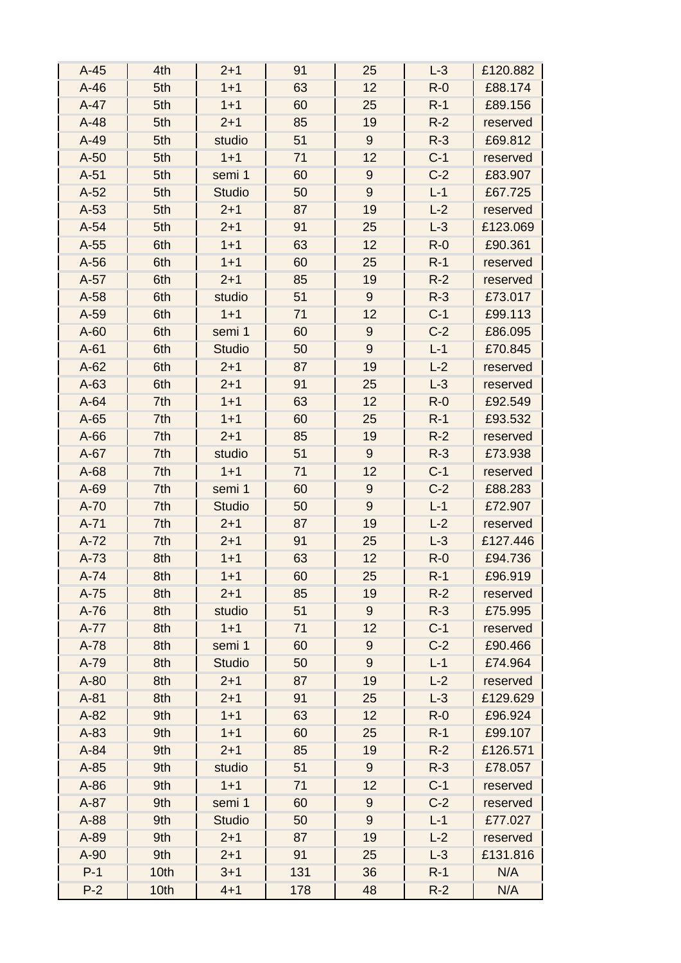| $A-45$ | 4th  | $2 + 1$       | 91  | 25               | $L-3$   | £120.882 |
|--------|------|---------------|-----|------------------|---------|----------|
| $A-46$ | 5th  | $1 + 1$       | 63  | 12               | $R-0$   | £88.174  |
| $A-47$ | 5th  | $1 + 1$       | 60  | 25               | $R-1$   | £89.156  |
| $A-48$ | 5th  | $2 + 1$       | 85  | 19               | $R-2$   | reserved |
| $A-49$ | 5th  | studio        | 51  | $9\,$            | $R-3$   | £69.812  |
| $A-50$ | 5th  | $1 + 1$       | 71  | 12               | $C-1$   | reserved |
| $A-51$ | 5th  | semi 1        | 60  | $\boldsymbol{9}$ | $C-2$   | £83.907  |
| $A-52$ | 5th  | <b>Studio</b> | 50  | $9\,$            | $L-1$   | £67.725  |
| $A-53$ | 5th  | $2 + 1$       | 87  | 19               | $L-2$   | reserved |
| $A-54$ | 5th  | $2 + 1$       | 91  | 25               | $L-3$   | £123.069 |
| $A-55$ | 6th  | $1 + 1$       | 63  | 12               | $R-0$   | £90.361  |
| $A-56$ | 6th  | $1 + 1$       | 60  | 25               | $R-1$   | reserved |
| $A-57$ | 6th  | $2 + 1$       | 85  | 19               | $R-2$   | reserved |
| $A-58$ | 6th  | studio        | 51  | $9\,$            | $R-3$   | £73.017  |
| A-59   | 6th  | $1 + 1$       | 71  | 12               | $C-1$   | £99.113  |
| $A-60$ | 6th  | semi 1        | 60  | $9\,$            | $C-2$   | £86.095  |
| $A-61$ | 6th  | <b>Studio</b> | 50  | $9\,$            | $L-1$   | £70.845  |
| $A-62$ | 6th  | $2 + 1$       | 87  | 19               | $L-2$   | reserved |
| $A-63$ | 6th  | $2 + 1$       | 91  | 25               | $L-3$   | reserved |
| $A-64$ | 7th  | $1 + 1$       | 63  | 12               | $R-0$   | £92.549  |
| $A-65$ | 7th  | $1 + 1$       | 60  | 25               | $R-1$   | £93.532  |
| $A-66$ | 7th  | $2 + 1$       | 85  | 19               | $R-2$   | reserved |
| $A-67$ | 7th  | studio        | 51  | $9\,$            | $R-3$   | £73.938  |
| $A-68$ | 7th  | $1 + 1$       | 71  | 12               | $C-1$   | reserved |
| $A-69$ | 7th  | semi 1        | 60  | $\overline{9}$   | $C-2$   | £88.283  |
| $A-70$ | 7th  | <b>Studio</b> | 50  | $\overline{9}$   | $L-1$   | £72.907  |
| $A-71$ | 7th  | $2 + 1$       | 87  | 19               | $L-2$   | reserved |
| $A-72$ | 7th  | $2 + 1$       | 91  | 25               | $L-3$   | £127.446 |
| $A-73$ | 8th  | $1 + 1$       | 63  | 12               | $R - 0$ | £94.736  |
| $A-74$ | 8th  | $1 + 1$       | 60  | 25               | $R-1$   | £96.919  |
| $A-75$ | 8th  | $2 + 1$       | 85  | 19               | $R-2$   | reserved |
| $A-76$ | 8th  | studio        | 51  | $9\,$            | $R-3$   | £75.995  |
| $A-77$ | 8th  | $1 + 1$       | 71  | 12               | $C-1$   | reserved |
| $A-78$ | 8th  | semi 1        | 60  | $9$              | $C-2$   | £90.466  |
| A-79   | 8th  | <b>Studio</b> | 50  | $\overline{9}$   | $L-1$   | £74.964  |
| $A-80$ | 8th  | $2 + 1$       | 87  | 19               | $L-2$   | reserved |
| $A-81$ | 8th  | $2 + 1$       | 91  | 25               | $L-3$   | £129.629 |
| $A-82$ | 9th  | $1 + 1$       | 63  | 12               | $R - 0$ | £96.924  |
| $A-83$ | 9th  | $1 + 1$       | 60  | 25               | $R-1$   | £99.107  |
| $A-84$ | 9th  | $2 + 1$       | 85  | 19               | $R-2$   | £126.571 |
| $A-85$ | 9th  | studio        | 51  | $9\,$            | $R-3$   | £78.057  |
| $A-86$ | 9th  | $1 + 1$       | 71  | 12               | $C-1$   | reserved |
| $A-87$ | 9th  | semi 1        | 60  | 9                | $C-2$   | reserved |
| A-88   | 9th  | <b>Studio</b> | 50  | 9                | $L-1$   | £77.027  |
| A-89   | 9th  | $2 + 1$       | 87  | 19               | $L-2$   | reserved |
| $A-90$ | 9th  | $2 + 1$       | 91  | 25               | $L-3$   | £131.816 |
| $P-1$  | 10th | $3 + 1$       | 131 | 36               | $R-1$   | N/A      |
| $P-2$  | 10th | $4 + 1$       | 178 | 48               | $R-2$   | N/A      |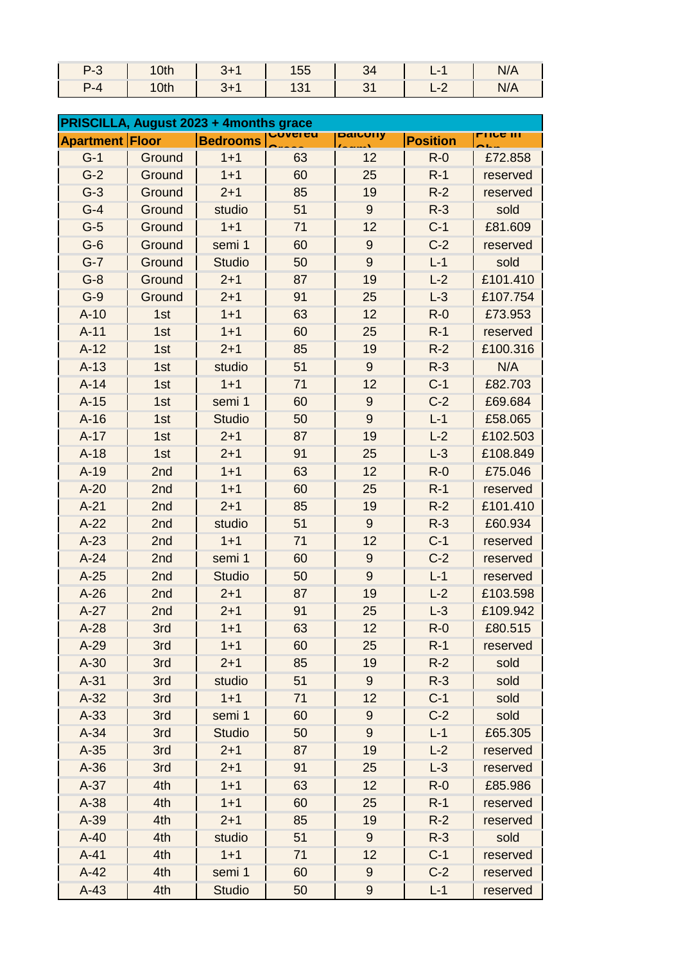|     | 10th | --<br>55 |  | 97 N |
|-----|------|----------|--|------|
| P-4 | 0th  |          |  | 97 N |

| PRISCILLA, August 2023 + 4months grace |        |                 |    |                  |                 |                  |
|----------------------------------------|--------|-----------------|----|------------------|-----------------|------------------|
| <b>Apartment Floor</b>                 |        | <b>Bedrooms</b> |    | paruury          | <b>Position</b> | <u>LIIAA III</u> |
| $G-1$                                  | Ground | $1 + 1$         | 63 | 12               | $R-0$           | £72.858          |
| $G-2$                                  | Ground | $1 + 1$         | 60 | 25               | $R-1$           | reserved         |
| $G-3$                                  | Ground | $2 + 1$         | 85 | 19               | $R-2$           | reserved         |
| $G-4$                                  | Ground | studio          | 51 | $9\,$            | $R-3$           | sold             |
| $G-5$                                  | Ground | $1 + 1$         | 71 | 12               | $C-1$           | £81.609          |
| $G-6$                                  | Ground | semi 1          | 60 | $\overline{9}$   | $C-2$           | reserved         |
| $G-7$                                  | Ground | <b>Studio</b>   | 50 | $\overline{9}$   | $L-1$           | sold             |
| $G-8$                                  | Ground | $2 + 1$         | 87 | 19               | $L-2$           | £101.410         |
| $G-9$                                  | Ground | $2 + 1$         | 91 | 25               | $L-3$           | £107.754         |
| $A-10$                                 | 1st    | $1 + 1$         | 63 | 12               | $R-0$           | £73.953          |
| $A-11$                                 | 1st    | $1 + 1$         | 60 | 25               | $R-1$           | reserved         |
| $A-12$                                 | 1st    | $2 + 1$         | 85 | 19               | $R-2$           | £100.316         |
| $A-13$                                 | 1st    | studio          | 51 | $9\,$            | $R-3$           | N/A              |
| $A-14$                                 | 1st    | $1 + 1$         | 71 | 12               | $C-1$           | £82.703          |
| $A-15$                                 | 1st    | semi 1          | 60 | $9\,$            | $C-2$           | £69.684          |
| $A-16$                                 | 1st    | <b>Studio</b>   | 50 | 9                | $L-1$           | £58.065          |
| $A-17$                                 | 1st    | $2 + 1$         | 87 | 19               | $L-2$           | £102.503         |
| $A-18$                                 | 1st    | $2 + 1$         | 91 | 25               | $L-3$           | £108.849         |
| $A-19$                                 | 2nd    | $1 + 1$         | 63 | 12               | $R-0$           | £75.046          |
| $A-20$                                 | 2nd    | $1 + 1$         | 60 | 25               | $R-1$           | reserved         |
| $A-21$                                 | 2nd    | $2 + 1$         | 85 | 19               | $R-2$           | £101.410         |
| $A-22$                                 | 2nd    | studio          | 51 | $\overline{9}$   | $R-3$           | £60.934          |
| $A-23$                                 | 2nd    | $1 + 1$         | 71 | 12               | $C-1$           | reserved         |
| $A-24$                                 | 2nd    | semi 1          | 60 | $\boldsymbol{9}$ | $C-2$           | reserved         |
| $A-25$                                 | 2nd    | <b>Studio</b>   | 50 | 9                | $L-1$           | reserved         |
| $A-26$                                 | 2nd    | $2 + 1$         | 87 | 19               | $L-2$           | £103.598         |
| $A-27$                                 | 2nd    | $2 + 1$         | 91 | 25               | $L-3$           | £109.942         |
| $A-28$                                 | 3rd    | $1 + 1$         | 63 | 12               | $R-0$           | £80.515          |
| $A-29$                                 | 3rd    | $1 + 1$         | 60 | 25               | $R-1$           | reserved         |
| $A-30$                                 | 3rd    | $2 + 1$         | 85 | 19               | $R-2$           | sold             |
| $A-31$                                 | 3rd    | studio          | 51 | $9\,$            | $R-3$           | sold             |
| $A-32$                                 | 3rd    | $1 + 1$         | 71 | 12               | $C-1$           | sold             |
| $A-33$                                 | 3rd    | semi 1          | 60 | $\boldsymbol{9}$ | $C-2$           | sold             |
| $A-34$                                 | 3rd    | <b>Studio</b>   | 50 | 9                | $L-1$           | £65.305          |
| $A-35$                                 | 3rd    | $2 + 1$         | 87 | 19               | $L-2$           | reserved         |
| $A-36$                                 | 3rd    | $2 + 1$         | 91 | 25               | $L-3$           | reserved         |
| $A-37$                                 | 4th    | $1 + 1$         | 63 | 12               | $R-0$           | £85.986          |
| $A-38$                                 | 4th    | $1 + 1$         | 60 | 25               | $R-1$           | reserved         |
| $A-39$                                 | 4th    | $2 + 1$         | 85 | 19               | $R-2$           | reserved         |
| $A-40$                                 | 4th    | studio          | 51 | $9\,$            | $R-3$           | sold             |
| $A-41$                                 | 4th    | $1 + 1$         | 71 | 12               | $C-1$           | reserved         |
| $A-42$                                 | 4th    | semi 1          | 60 | $\boldsymbol{9}$ | $C-2$           | reserved         |
| $A-43$                                 | 4th    | <b>Studio</b>   | 50 | 9                | $L-1$           | reserved         |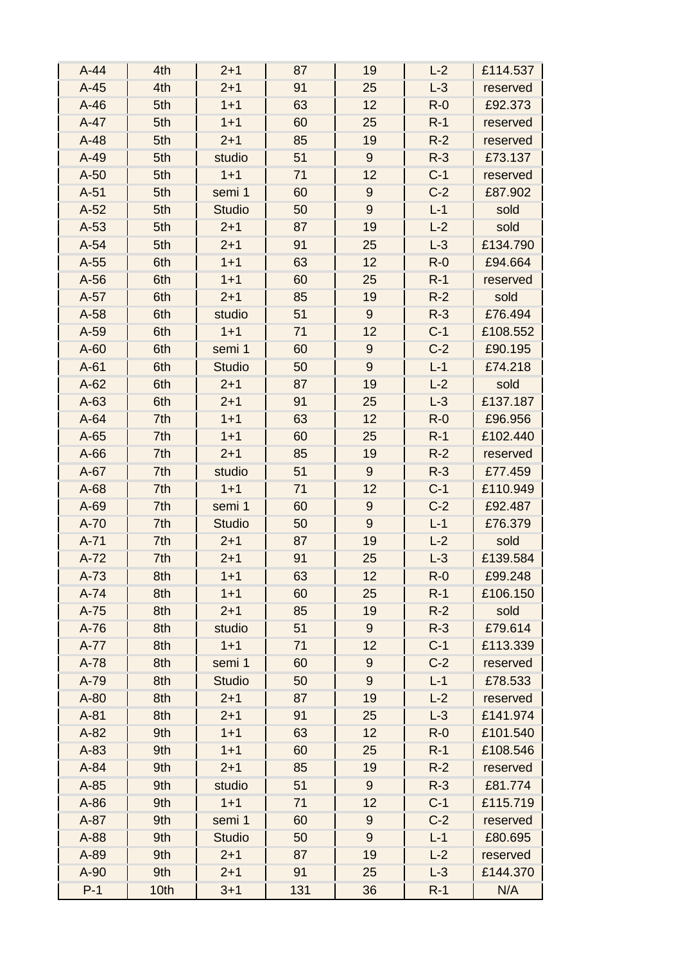| $A-44$ | 4th  | $2 + 1$       | 87  | 19               | $L-2$ | £114.537 |
|--------|------|---------------|-----|------------------|-------|----------|
| $A-45$ | 4th  | $2 + 1$       | 91  | 25               | $L-3$ | reserved |
| $A-46$ | 5th  | $1 + 1$       | 63  | 12               | $R-0$ | £92.373  |
| $A-47$ | 5th  | $1 + 1$       | 60  | 25               | $R-1$ | reserved |
| $A-48$ | 5th  | $2 + 1$       | 85  | 19               | $R-2$ | reserved |
| $A-49$ | 5th  | studio        | 51  | 9                | $R-3$ | £73.137  |
| $A-50$ | 5th  | $1 + 1$       | 71  | 12               | $C-1$ | reserved |
| $A-51$ | 5th  | semi 1        | 60  | $9\,$            | $C-2$ | £87.902  |
| $A-52$ | 5th  | <b>Studio</b> | 50  | $\overline{9}$   | $L-1$ | sold     |
| $A-53$ | 5th  | $2 + 1$       | 87  | 19               | $L-2$ | sold     |
| $A-54$ | 5th  | $2 + 1$       | 91  | 25               | $L-3$ | £134.790 |
| $A-55$ | 6th  | $1 + 1$       | 63  | 12               | $R-0$ | £94.664  |
| $A-56$ | 6th  | $1 + 1$       | 60  | 25               | $R-1$ | reserved |
| $A-57$ | 6th  | $2 + 1$       | 85  | 19               | $R-2$ | sold     |
| $A-58$ | 6th  | studio        | 51  | $9\,$            | $R-3$ | £76.494  |
| A-59   | 6th  | $1 + 1$       | 71  | 12               | $C-1$ | £108.552 |
| $A-60$ | 6th  | semi 1        | 60  | 9                | $C-2$ | £90.195  |
| $A-61$ | 6th  | <b>Studio</b> | 50  | $\boldsymbol{9}$ | $L-1$ | £74.218  |
| $A-62$ | 6th  | $2 + 1$       | 87  | 19               | $L-2$ | sold     |
| $A-63$ | 6th  | $2 + 1$       | 91  | 25               | $L-3$ | £137.187 |
| $A-64$ | 7th  | $1 + 1$       | 63  | 12               | $R-0$ | £96.956  |
| $A-65$ | 7th  | $1 + 1$       | 60  | 25               | $R-1$ | £102.440 |
| $A-66$ | 7th  | $2 + 1$       | 85  | 19               | $R-2$ | reserved |
| $A-67$ | 7th  | studio        | 51  | $9\,$            | $R-3$ | £77.459  |
| $A-68$ | 7th  | $1 + 1$       | 71  | 12               | $C-1$ | £110.949 |
| $A-69$ | 7th  | semi 1        | 60  | $\boldsymbol{9}$ | $C-2$ | £92.487  |
| $A-70$ | 7th  | <b>Studio</b> | 50  | 9                | $L-1$ | £76.379  |
| $A-71$ | 7th  | $2 + 1$       | 87  | 19               | $L-2$ | sold     |
| $A-72$ | 7th  | $2 + 1$       | 91  | 25               | $L-3$ | £139.584 |
| $A-73$ | 8th  | $1 + 1$       | 63  | 12               | $R-0$ | £99.248  |
| $A-74$ | 8th  | $1 + 1$       | 60  | 25               | $R-1$ | £106.150 |
| $A-75$ | 8th  | $2 + 1$       | 85  | 19               | $R-2$ | sold     |
| $A-76$ | 8th  | studio        | 51  | $\boldsymbol{9}$ | $R-3$ | £79.614  |
| $A-77$ | 8th  | $1 + 1$       | 71  | 12               | $C-1$ | £113.339 |
| $A-78$ | 8th  | semi 1        | 60  | $\boldsymbol{9}$ | $C-2$ | reserved |
| A-79   | 8th  | <b>Studio</b> | 50  | 9                | $L-1$ | £78.533  |
| $A-80$ | 8th  | $2 + 1$       | 87  | 19               | $L-2$ | reserved |
| $A-81$ | 8th  | $2 + 1$       | 91  | 25               | $L-3$ | £141.974 |
| $A-82$ | 9th  | $1 + 1$       | 63  | 12               | $R-0$ | £101.540 |
| $A-83$ | 9th  | $1 + 1$       | 60  | 25               | $R-1$ | £108.546 |
| A-84   | 9th  | $2 + 1$       | 85  | 19               | $R-2$ | reserved |
| $A-85$ | 9th  | studio        | 51  | 9                | $R-3$ | £81.774  |
| $A-86$ | 9th  | $1 + 1$       | 71  | 12               | $C-1$ | £115.719 |
| $A-87$ | 9th  | semi 1        | 60  | $\boldsymbol{9}$ | $C-2$ | reserved |
| A-88   | 9th  | <b>Studio</b> | 50  | 9                | $L-1$ | £80.695  |
| A-89   | 9th  | $2 + 1$       | 87  | 19               | $L-2$ | reserved |
| A-90   | 9th  | $2 + 1$       | 91  | 25               | $L-3$ | £144.370 |
| $P-1$  | 10th | $3 + 1$       | 131 | 36               | $R-1$ | N/A      |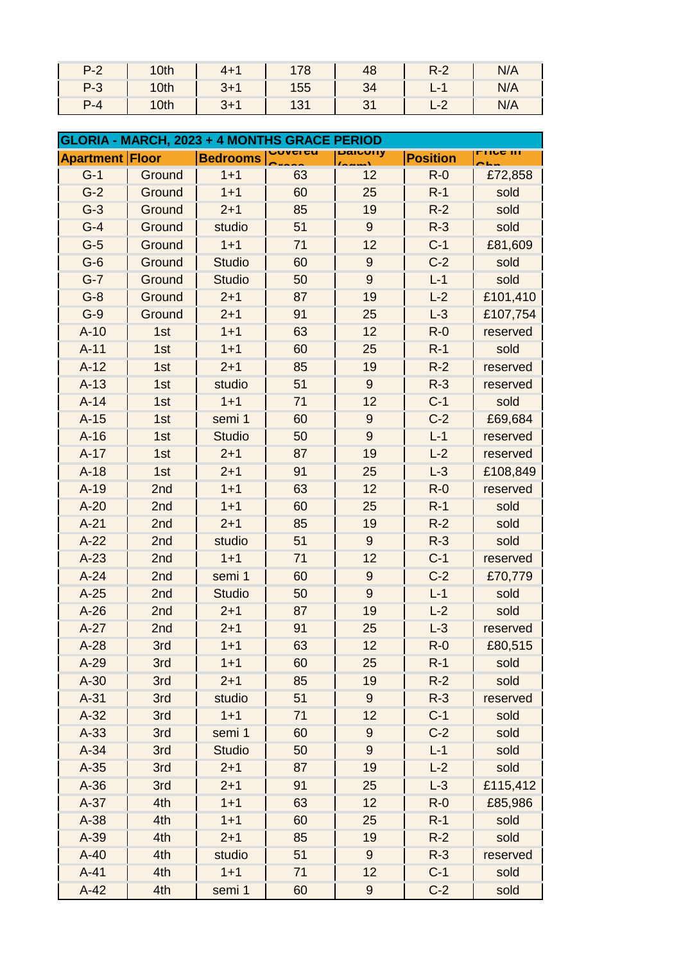| $P-2$   | 10th          | $4 + 1$ | 178 | 48    | $R-2$ | N/A |
|---------|---------------|---------|-----|-------|-------|-----|
| $P-3$   | $\sqrt{10th}$ | $3+1$   | 155 | $-34$ | $-1$  | N/A |
| $P - 4$ | 10th          | $3+1$   | 131 | 31    | $L-2$ | N/A |

| <b>GLORIA - MARCH, 2023 + 4 MONTHS GRACE PERIOD</b> |        |                 |           |                  |                 |          |
|-----------------------------------------------------|--------|-----------------|-----------|------------------|-----------------|----------|
| <b>Apartment Floor</b>                              |        | <b>Bedrooms</b> | <u>cu</u> | DaivUlly         | <b>Position</b> | LIIA III |
| $G-1$                                               | Ground | $1 + 1$         | 63        | 12               | $R - 0$         | £72,858  |
| $G-2$                                               | Ground | $1 + 1$         | 60        | 25               | $R-1$           | sold     |
| $G-3$                                               | Ground | $2 + 1$         | 85        | 19               | $R-2$           | sold     |
| $G-4$                                               | Ground | studio          | 51        | $9\,$            | $R-3$           | sold     |
| $G-5$                                               | Ground | $1 + 1$         | 71        | 12               | $C-1$           | £81,609  |
| $G-6$                                               | Ground | <b>Studio</b>   | 60        | $9\,$            | $C-2$           | sold     |
| $G-7$                                               | Ground | <b>Studio</b>   | 50        | 9                | $L-1$           | sold     |
| $G-8$                                               | Ground | $2 + 1$         | 87        | 19               | $L-2$           | £101,410 |
| $G-9$                                               | Ground | $2 + 1$         | 91        | 25               | $L-3$           | £107,754 |
| $A-10$                                              | 1st    | $1 + 1$         | 63        | 12               | $R-0$           | reserved |
| $A - 11$                                            | 1st    | $1 + 1$         | 60        | 25               | $R-1$           | sold     |
| $A-12$                                              | 1st    | $2 + 1$         | 85        | 19               | $R-2$           | reserved |
| $A-13$                                              | 1st    | studio          | 51        | 9                | $R-3$           | reserved |
| $A-14$                                              | 1st    | $1 + 1$         | 71        | 12               | $C-1$           | sold     |
| $A-15$                                              | 1st    | semi 1          | 60        | $9\,$            | $C-2$           | £69,684  |
| $A-16$                                              | 1st    | <b>Studio</b>   | 50        | 9                | $L-1$           | reserved |
| $A-17$                                              | 1st    | $2 + 1$         | 87        | 19               | $L-2$           | reserved |
| $A-18$                                              | 1st    | $2 + 1$         | 91        | 25               | $L-3$           | £108,849 |
| $A-19$                                              | 2nd    | $1 + 1$         | 63        | 12               | $R-0$           | reserved |
| $A-20$                                              | 2nd    | $1 + 1$         | 60        | 25               | $R-1$           | sold     |
| $A-21$                                              | 2nd    | $2 + 1$         | 85        | 19               | $R-2$           | sold     |
| $A-22$                                              | 2nd    | studio          | 51        | 9                | $R-3$           | sold     |
| $A-23$                                              | 2nd    | $1 + 1$         | 71        | 12               | $C-1$           | reserved |
| $A-24$                                              | 2nd    | semi 1          | 60        | $\overline{9}$   | $C-2$           | £70,779  |
| $A-25$                                              | 2nd    | <b>Studio</b>   | 50        | 9                | $L-1$           | sold     |
| $A-26$                                              | 2nd    | $2 + 1$         | 87        | 19               | $L-2$           | sold     |
| $A-27$                                              | 2nd    | $2 + 1$         | 91        | 25               | $L-3$           | reserved |
| $A-28$                                              | 3rd    | $1 + 1$         | 63        | 12               | $R-0$           | £80,515  |
| $A-29$                                              | 3rd    | $1 + 1$         | 60        | 25               | $R-1$           | sold     |
| $A-30$                                              | 3rd    | $2 + 1$         | 85        | 19               | $R-2$           | sold     |
| $A-31$                                              | 3rd    | studio          | 51        | 9                | $R-3$           | reserved |
| $A-32$                                              | 3rd    | $1 + 1$         | 71        | 12               | $C-1$           | sold     |
| $A-33$                                              | 3rd    | semi 1          | 60        | $\boldsymbol{9}$ | $C-2$           | sold     |
| $A-34$                                              | 3rd    | <b>Studio</b>   | 50        | $\boldsymbol{9}$ | $L-1$           | sold     |
| $A-35$                                              | 3rd    | $2 + 1$         | 87        | 19               | $L-2$           | sold     |
| $A-36$                                              | 3rd    | $2 + 1$         | 91        | 25               | $L-3$           | £115,412 |
| $A-37$                                              | 4th    | $1 + 1$         | 63        | 12               | $R-0$           | £85,986  |
| $A-38$                                              | 4th    | $1 + 1$         | 60        | 25               | $R-1$           | sold     |
| $A-39$                                              | 4th    | $2 + 1$         | 85        | 19               | $R-2$           | sold     |
| $A-40$                                              | 4th    | studio          | 51        | 9                | $R-3$           | reserved |
| $A-41$                                              | 4th    | $1 + 1$         | 71        | 12               | $C-1$           | sold     |
| $A-42$                                              | 4th    | semi 1          | 60        | 9                | $C-2$           | sold     |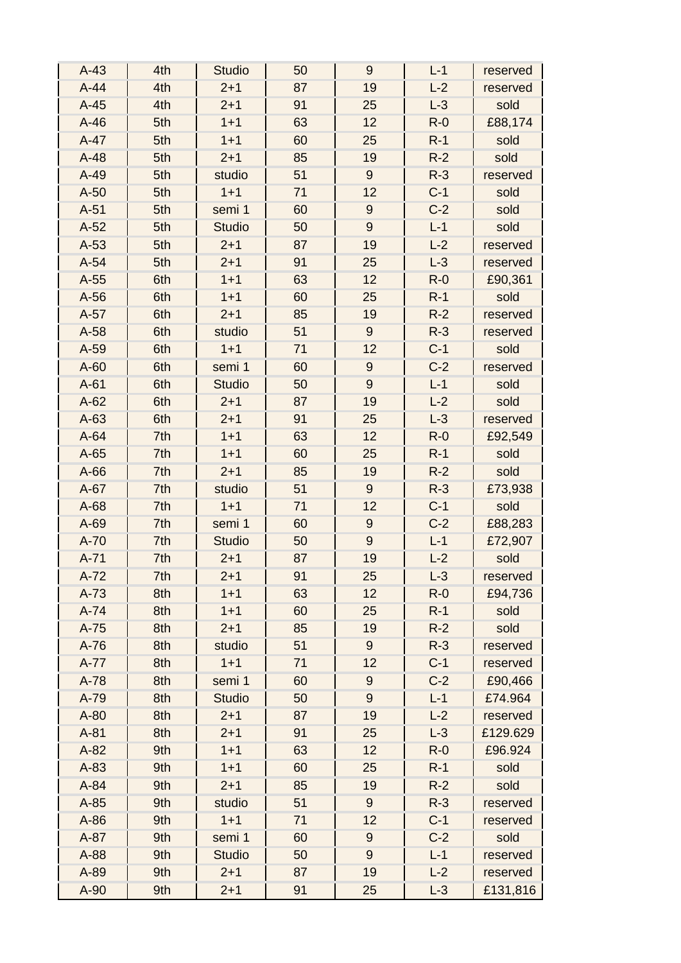| $A-43$ | 4th | <b>Studio</b> | 50 | 9                | $L-1$   | reserved |
|--------|-----|---------------|----|------------------|---------|----------|
| $A-44$ | 4th | $2 + 1$       | 87 | 19               | $L-2$   | reserved |
| $A-45$ | 4th | $2 + 1$       | 91 | 25               | $L-3$   | sold     |
| $A-46$ | 5th | $1 + 1$       | 63 | 12               | $R - 0$ | £88,174  |
| $A-47$ | 5th | $1 + 1$       | 60 | 25               | $R-1$   | sold     |
| $A-48$ | 5th | $2 + 1$       | 85 | 19               | $R-2$   | sold     |
| $A-49$ | 5th | studio        | 51 | $\overline{9}$   | $R-3$   | reserved |
| $A-50$ | 5th | $1 + 1$       | 71 | 12               | $C-1$   | sold     |
| $A-51$ | 5th | semi 1        | 60 | $\boldsymbol{9}$ | $C-2$   | sold     |
| $A-52$ | 5th | <b>Studio</b> | 50 | $\overline{9}$   | $L-1$   | sold     |
| $A-53$ | 5th | $2 + 1$       | 87 | 19               | $L-2$   | reserved |
| $A-54$ | 5th | $2 + 1$       | 91 | 25               | $L-3$   | reserved |
| $A-55$ | 6th | $1 + 1$       | 63 | 12               | $R - 0$ | £90,361  |
| $A-56$ | 6th | $1 + 1$       | 60 | 25               | $R-1$   | sold     |
| $A-57$ | 6th | $2 + 1$       | 85 | 19               | $R-2$   | reserved |
| $A-58$ | 6th | studio        | 51 | 9                | $R-3$   | reserved |
| A-59   | 6th | $1 + 1$       | 71 | 12               | $C-1$   | sold     |
| $A-60$ | 6th | semi 1        | 60 | $\boldsymbol{9}$ | $C-2$   | reserved |
| $A-61$ | 6th | <b>Studio</b> | 50 | 9                | $L-1$   | sold     |
| $A-62$ | 6th | $2 + 1$       | 87 | 19               | $L-2$   | sold     |
| $A-63$ | 6th | $2 + 1$       | 91 | 25               | $L-3$   | reserved |
| $A-64$ | 7th | $1 + 1$       | 63 | 12               | $R - 0$ | £92,549  |
| $A-65$ | 7th | $1 + 1$       | 60 | 25               | $R-1$   | sold     |
| $A-66$ | 7th | $2 + 1$       | 85 | 19               | $R-2$   | sold     |
| $A-67$ | 7th | studio        | 51 | 9                | $R-3$   | £73,938  |
| $A-68$ | 7th | $1 + 1$       | 71 | 12               | $C-1$   | sold     |
| A-69   | 7th | semi 1        | 60 | $\boldsymbol{9}$ | $C-2$   | £88,283  |
| $A-70$ | 7th | <b>Studio</b> | 50 | $\overline{9}$   | $L-1$   | £72,907  |
| $A-71$ | 7th | $2 + 1$       | 87 | 19               | $L-2$   | sold     |
| $A-72$ | 7th | $2 + 1$       | 91 | 25               | $L-3$   | reserved |
| $A-73$ | 8th | $1 + 1$       | 63 | 12               | $R-0$   | £94,736  |
| $A-74$ | 8th | $1 + 1$       | 60 | 25               | $R-1$   | sold     |
| $A-75$ | 8th | $2 + 1$       | 85 | 19               | $R-2$   | sold     |
| $A-76$ | 8th | studio        | 51 | $9\,$            | $R-3$   | reserved |
| $A-77$ | 8th | $1 + 1$       | 71 | 12               | $C-1$   | reserved |
| $A-78$ | 8th | semi 1        | 60 | 9                | $C-2$   | £90,466  |
| A-79   | 8th | <b>Studio</b> | 50 | 9                | $L-1$   | £74.964  |
| $A-80$ | 8th | $2 + 1$       | 87 | 19               | $L-2$   | reserved |
| $A-81$ | 8th | $2 + 1$       | 91 | 25               | $L-3$   | £129.629 |
| $A-82$ | 9th | $1 + 1$       | 63 | 12               | $R - 0$ | £96.924  |
| A-83   | 9th | $1 + 1$       | 60 | 25               | $R-1$   | sold     |
| $A-84$ | 9th | $2 + 1$       | 85 | 19               | $R-2$   | sold     |
| $A-85$ | 9th | studio        | 51 | 9                | $R-3$   | reserved |
| $A-86$ | 9th | $1 + 1$       | 71 | 12               | $C-1$   | reserved |
| $A-87$ | 9th | semi 1        | 60 | $9$              | $C-2$   | sold     |
| A-88   | 9th | <b>Studio</b> | 50 | $\overline{9}$   | $L-1$   | reserved |
| A-89   | 9th | $2 + 1$       | 87 | 19               | $L-2$   | reserved |
| A-90   | 9th | $2 + 1$       | 91 | 25               | $L-3$   | £131,816 |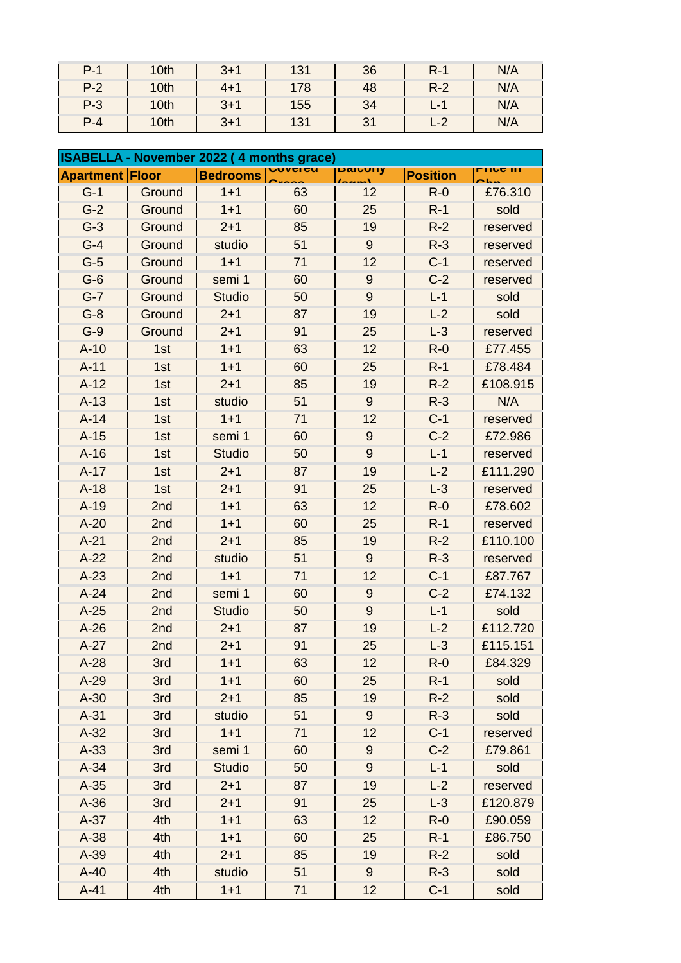| $P-1$   | 10th             | $3+1$   | 131 | 36    | $R-1$ | N/A |
|---------|------------------|---------|-----|-------|-------|-----|
| $P-2$   | 10 <sup>th</sup> | $4 + 1$ | 178 | 48    | $R-2$ | N/A |
| $P-3$   | 10 <sup>th</sup> | $3 + 1$ | 155 | $-34$ | $L-1$ | N/A |
| $P - 4$ | 10th             | $3 + 1$ |     |       |       |     |

| ISABELLA - November 2022 (4 months grace) |        |                 |                 |                  |                 |                 |
|-------------------------------------------|--------|-----------------|-----------------|------------------|-----------------|-----------------|
| <b>Apartment Floor</b>                    |        | <b>Bedrooms</b> | <u>,uvci cu</u> | Daluvily         | <b>Position</b> | <u>LIIA III</u> |
| $G-1$                                     | Ground | $1 + 1$         | 63              | 12               | $R-0$           | £76.310         |
| $G-2$                                     | Ground | $1 + 1$         | 60              | 25               | $R-1$           | sold            |
| $G-3$                                     | Ground | $2 + 1$         | 85              | 19               | $R-2$           | reserved        |
| $G-4$                                     | Ground | studio          | 51              | $9\,$            | $R-3$           | reserved        |
| $G-5$                                     | Ground | $1 + 1$         | 71              | 12               | $C-1$           | reserved        |
| $G-6$                                     | Ground | semi 1          | 60              | 9                | $C-2$           | reserved        |
| $G-7$                                     | Ground | <b>Studio</b>   | 50              | $\overline{9}$   | $L-1$           | sold            |
| $G-8$                                     | Ground | $2 + 1$         | 87              | 19               | $L-2$           | sold            |
| $G-9$                                     | Ground | $2 + 1$         | 91              | 25               | $L-3$           | reserved        |
| $A-10$                                    | 1st    | $1 + 1$         | 63              | 12               | $R - 0$         | £77.455         |
| $A-11$                                    | 1st    | $1 + 1$         | 60              | 25               | $R-1$           | £78.484         |
| $A-12$                                    | 1st    | $2 + 1$         | 85              | 19               | $R-2$           | £108.915        |
| $A-13$                                    | 1st    | studio          | 51              | $9\,$            | $R-3$           | N/A             |
| $A-14$                                    | 1st    | $1 + 1$         | 71              | 12               | $C-1$           | reserved        |
| $A-15$                                    | 1st    | semi 1          | 60              | $9$              | $C-2$           | £72.986         |
| $A-16$                                    | 1st    | <b>Studio</b>   | 50              | $\overline{9}$   | $L-1$           | reserved        |
| $A-17$                                    | 1st    | $2 + 1$         | 87              | 19               | $L-2$           | £111.290        |
| $A-18$                                    | 1st    | $2 + 1$         | 91              | 25               | $L-3$           | reserved        |
| $A-19$                                    | 2nd    | $1 + 1$         | 63              | 12               | $R-0$           | £78.602         |
| $A-20$                                    | 2nd    | $1 + 1$         | 60              | 25               | $R-1$           | reserved        |
| $A-21$                                    | 2nd    | $2 + 1$         | 85              | 19               | $R-2$           | £110.100        |
| $A-22$                                    | 2nd    | studio          | 51              | $9\,$            | $R-3$           | reserved        |
| $A-23$                                    | 2nd    | $1 + 1$         | 71              | 12               | $C-1$           | £87.767         |
| $A-24$                                    | 2nd    | semi 1          | 60              | 9                | $C-2$           | £74.132         |
| $A-25$                                    | 2nd    | <b>Studio</b>   | 50              | $\overline{9}$   | $L-1$           | sold            |
| $A-26$                                    | 2nd    | $2 + 1$         | 87              | 19               | $L-2$           | £112.720        |
| $A-27$                                    | 2nd    | $2 + 1$         | 91              | 25               | $L-3$           | £115.151        |
| $A-28$                                    | 3rd    | $1 + 1$         | 63              | 12               | $R - 0$         | £84.329         |
| $A-29$                                    | 3rd    | $1 + 1$         | 60              | 25               | $R-1$           | sold            |
| $A-30$                                    | 3rd    | $2 + 1$         | 85              | 19               | $R-2$           | sold            |
| $A-31$                                    | 3rd    | studio          | 51              | $9\,$            | $R-3$           | sold            |
| $A-32$                                    | 3rd    | $1 + 1$         | 71              | 12               | $C-1$           | reserved        |
| $A-33$                                    | 3rd    | semi 1          | 60              | 9                | $C-2$           | £79.861         |
| $A-34$                                    | 3rd    | <b>Studio</b>   | 50              | 9                | $L-1$           | sold            |
| $A-35$                                    | 3rd    | $2 + 1$         | 87              | 19               | $L-2$           | reserved        |
| $A-36$                                    | 3rd    | $2 + 1$         | 91              | 25               | $L-3$           | £120.879        |
| $A-37$                                    | 4th    | $1 + 1$         | 63              | 12               | $R - 0$         | £90.059         |
| $A-38$                                    | 4th    | $1 + 1$         | 60              | 25               | $R-1$           | £86.750         |
| $A-39$                                    | 4th    | $2 + 1$         | 85              | 19               | $R-2$           | sold            |
| $A-40$                                    | 4th    | studio          | 51              | $\boldsymbol{9}$ | $R-3$           | sold            |
| $A-41$                                    | 4th    | $1 + 1$         | 71              | 12               | $C-1$           | sold            |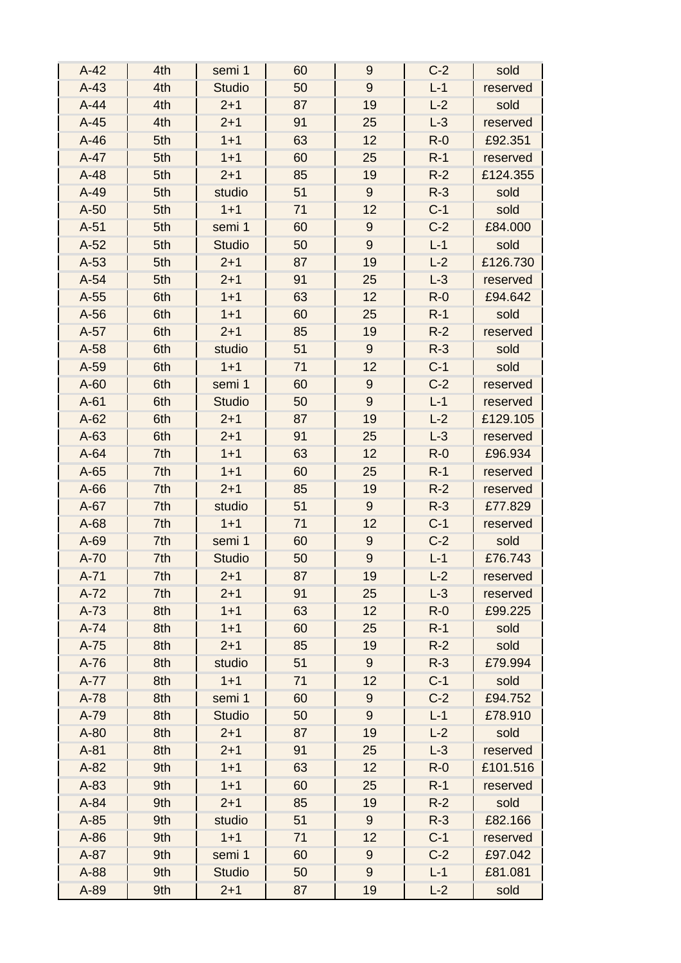| $A-42$ | 4th | semi 1        | 60 | 9                | $C-2$ | sold     |
|--------|-----|---------------|----|------------------|-------|----------|
| $A-43$ | 4th | <b>Studio</b> | 50 | $\overline{9}$   | $L-1$ | reserved |
| $A-44$ | 4th | $2 + 1$       | 87 | 19               | $L-2$ | sold     |
| $A-45$ | 4th | $2 + 1$       | 91 | 25               | $L-3$ | reserved |
| $A-46$ | 5th | $1 + 1$       | 63 | 12               | $R-0$ | £92.351  |
| $A-47$ | 5th | $1 + 1$       | 60 | 25               | $R-1$ | reserved |
| $A-48$ | 5th | $2 + 1$       | 85 | 19               | $R-2$ | £124.355 |
| $A-49$ | 5th | studio        | 51 | 9                | $R-3$ | sold     |
| $A-50$ | 5th | $1 + 1$       | 71 | 12               | $C-1$ | sold     |
| $A-51$ | 5th | semi 1        | 60 | $9\,$            | $C-2$ | £84.000  |
| $A-52$ | 5th | <b>Studio</b> | 50 | $\overline{9}$   | $L-1$ | sold     |
| $A-53$ | 5th | $2 + 1$       | 87 | 19               | $L-2$ | £126.730 |
| $A-54$ | 5th | $2 + 1$       | 91 | 25               | $L-3$ | reserved |
| $A-55$ | 6th | $1 + 1$       | 63 | 12               | $R-0$ | £94.642  |
| $A-56$ | 6th | $1 + 1$       | 60 | 25               | $R-1$ | sold     |
| $A-57$ | 6th | $2 + 1$       | 85 | 19               | $R-2$ | reserved |
| $A-58$ | 6th | studio        | 51 | $9\,$            | $R-3$ | sold     |
| $A-59$ | 6th | $1 + 1$       | 71 | 12               | $C-1$ | sold     |
| $A-60$ | 6th | semi 1        | 60 | 9                | $C-2$ | reserved |
| $A-61$ | 6th | <b>Studio</b> | 50 | 9                | $L-1$ | reserved |
| $A-62$ | 6th | $2 + 1$       | 87 | 19               | $L-2$ | £129.105 |
| $A-63$ | 6th | $2 + 1$       | 91 | 25               | $L-3$ | reserved |
| $A-64$ | 7th | $1 + 1$       | 63 | 12               | $R-0$ | £96.934  |
| $A-65$ | 7th | $1 + 1$       | 60 | 25               | $R-1$ | reserved |
| $A-66$ | 7th | $2 + 1$       | 85 | 19               | $R-2$ | reserved |
| $A-67$ | 7th | studio        | 51 | 9                | $R-3$ | £77.829  |
| $A-68$ | 7th | $1 + 1$       | 71 | 12               | $C-1$ | reserved |
| A-69   | 7th | semi 1        | 60 | $\boldsymbol{9}$ | $C-2$ | sold     |
| $A-70$ | 7th | <b>Studio</b> | 50 | $\boldsymbol{9}$ | $L-1$ | £76.743  |
| $A-71$ | 7th | $2 + 1$       | 87 | 19               | $L-2$ | reservea |
| $A-72$ | 7th | $2 + 1$       | 91 | 25               | $L-3$ | reserved |
| $A-73$ | 8th | $1 + 1$       | 63 | 12               | $R-0$ | £99.225  |
| $A-74$ | 8th | $1 + 1$       | 60 | 25               | $R-1$ | sold     |
| $A-75$ | 8th | $2 + 1$       | 85 | 19               | $R-2$ | sold     |
| $A-76$ | 8th | studio        | 51 | $\boldsymbol{9}$ | $R-3$ | £79.994  |
| $A-77$ | 8th | $1 + 1$       | 71 | 12               | $C-1$ | sold     |
| $A-78$ | 8th | semi 1        | 60 | $\boldsymbol{9}$ | $C-2$ | £94.752  |
| A-79   | 8th | <b>Studio</b> | 50 | $\boldsymbol{9}$ | $L-1$ | £78.910  |
| $A-80$ | 8th | $2 + 1$       | 87 | 19               | $L-2$ | sold     |
| $A-81$ | 8th | $2 + 1$       | 91 | 25               | $L-3$ | reserved |
| $A-82$ | 9th | $1 + 1$       | 63 | 12               | $R-0$ | £101.516 |
| $A-83$ | 9th | $1 + 1$       | 60 | 25               | $R-1$ | reserved |
| $A-84$ | 9th | $2 + 1$       | 85 | 19               | $R-2$ | sold     |
| $A-85$ | 9th | studio        | 51 | 9                | $R-3$ | £82.166  |
| $A-86$ | 9th | $1 + 1$       | 71 | 12               | $C-1$ | reserved |
| $A-87$ | 9th | semi 1        | 60 | $\boldsymbol{9}$ | $C-2$ | £97.042  |
| A-88   | 9th | <b>Studio</b> | 50 | $\boldsymbol{9}$ | $L-1$ | £81.081  |
| A-89   | 9th | $2 + 1$       | 87 | 19               | $L-2$ | sold     |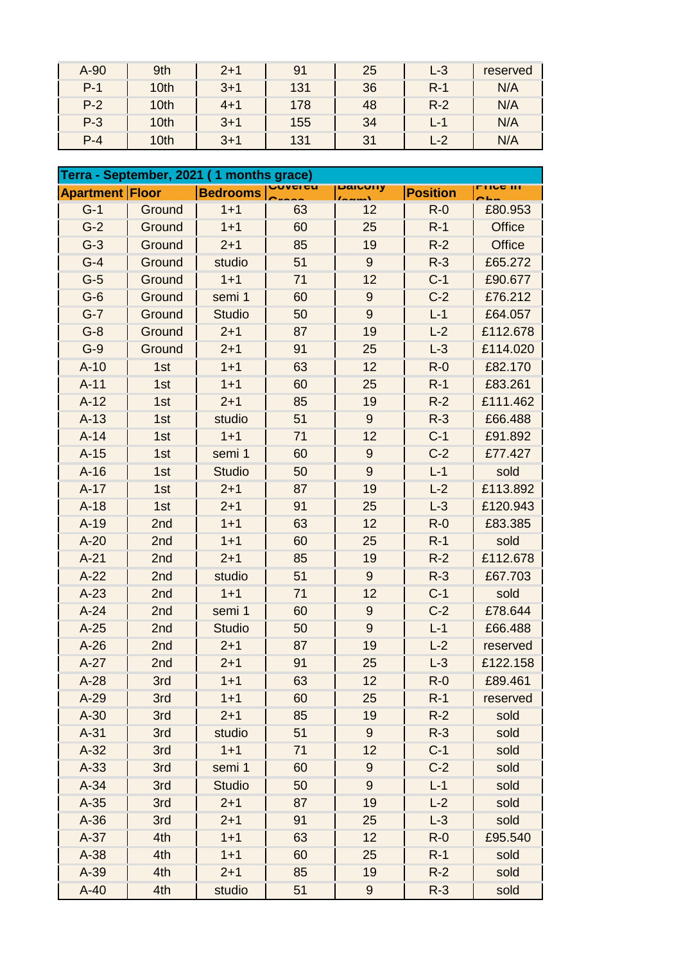| A-90    | 9th  | $2 + 1$ |     | 25 | $L-3$                        | reserved |
|---------|------|---------|-----|----|------------------------------|----------|
| $P-1$   | 10th | $3 + 1$ | 131 | 36 | $R-1$                        | N/A      |
| $P-2$   | 10th | $4 + 1$ | 178 | 48 | $R-2$                        | N/A      |
| $P-3$   | 10th | $3 + 1$ | 155 | 34 | $\qquad \qquad \blacksquare$ | N/A      |
| $P - 4$ | 10th | $3 + 1$ | 131 | 31 | $-2$                         | N/A      |

|                        |        | Terra - September, 2021 (1 months grace) |    |                  |                 |                  |
|------------------------|--------|------------------------------------------|----|------------------|-----------------|------------------|
| <b>Apartment Floor</b> |        | <b>Bedrooms</b>                          |    | paruury          | <b>Position</b> | <u>LIIAA III</u> |
| $G-1$                  | Ground | $1 + 1$                                  | 63 | 12               | $R-0$           | £80.953          |
| $G-2$                  | Ground | $1 + 1$                                  | 60 | 25               | $R-1$           | <b>Office</b>    |
| $G-3$                  | Ground | $2 + 1$                                  | 85 | 19               | $R-2$           | <b>Office</b>    |
| $G-4$                  | Ground | studio                                   | 51 | $9\,$            | $R-3$           | £65.272          |
| $G-5$                  | Ground | $1 + 1$                                  | 71 | 12               | $C-1$           | £90.677          |
| $G-6$                  | Ground | semi 1                                   | 60 | 9                | $C-2$           | £76.212          |
| $G-7$                  | Ground | <b>Studio</b>                            | 50 | $\overline{9}$   | $L-1$           | £64.057          |
| $G-8$                  | Ground | $2 + 1$                                  | 87 | 19               | $L-2$           | £112.678         |
| $G-9$                  | Ground | $2 + 1$                                  | 91 | 25               | $L-3$           | £114.020         |
| $A-10$                 | 1st    | $1 + 1$                                  | 63 | 12               | $R-0$           | £82.170          |
| $A-11$                 | 1st    | $1 + 1$                                  | 60 | 25               | $R-1$           | £83.261          |
| $A-12$                 | 1st    | $2 + 1$                                  | 85 | 19               | $R-2$           | £111.462         |
| $A-13$                 | 1st    | studio                                   | 51 | $9\,$            | $R-3$           | £66.488          |
| $A-14$                 | 1st    | $1 + 1$                                  | 71 | 12               | $C-1$           | £91.892          |
| $A-15$                 | 1st    | semi 1                                   | 60 | $9\,$            | $C-2$           | £77.427          |
| $A-16$                 | 1st    | <b>Studio</b>                            | 50 | 9                | $L-1$           | sold             |
| $A-17$                 | 1st    | $2 + 1$                                  | 87 | 19               | $L-2$           | £113.892         |
| $A-18$                 | 1st    | $2 + 1$                                  | 91 | 25               | $L-3$           | £120.943         |
| $A-19$                 | 2nd    | $1 + 1$                                  | 63 | 12               | $R-0$           | £83.385          |
| $A-20$                 | 2nd    | $1 + 1$                                  | 60 | 25               | $R-1$           | sold             |
| $A-21$                 | 2nd    | $2 + 1$                                  | 85 | 19               | $R-2$           | £112.678         |
| $A-22$                 | 2nd    | studio                                   | 51 | 9                | $R-3$           | £67.703          |
| $A-23$                 | 2nd    | $1 + 1$                                  | 71 | 12               | $C-1$           | sold             |
| $A-24$                 | 2nd    | semi 1                                   | 60 | 9                | $C-2$           | £78.644          |
| $A-25$                 | 2nd    | <b>Studio</b>                            | 50 | 9                | $L-1$           | £66.488          |
| $A-26$                 | 2nd    | $2 + 1$                                  | 87 | 19               | $L-2$           | reserved         |
| $A-27$                 | 2nd    | $2 + 1$                                  | 91 | 25               | $L-3$           | £122.158         |
| $A-28$                 | 3rd    | $1 + 1$                                  | 63 | 12               | $R-0$           | £89.461          |
| $A-29$                 | 3rd    | $1 + 1$                                  | 60 | 25               | $R-1$           | reserved         |
| $A-30$                 | 3rd    | $2 + 1$                                  | 85 | 19               | $R-2$           | sold             |
| $A-31$                 | 3rd    | studio                                   | 51 | $9\,$            | $R-3$           | sold             |
| $A-32$                 | 3rd    | $1 + 1$                                  | 71 | 12               | $C-1$           | sold             |
| $A-33$                 | 3rd    | semi 1                                   | 60 | $\boldsymbol{9}$ | $C-2$           | sold             |
| $A-34$                 | 3rd    | <b>Studio</b>                            | 50 | 9                | $L-1$           | sold             |
| $A-35$                 | 3rd    | $2 + 1$                                  | 87 | 19               | $L-2$           | sold             |
| $A-36$                 | 3rd    | $2 + 1$                                  | 91 | 25               | $L-3$           | sold             |
| $A-37$                 | 4th    | $1 + 1$                                  | 63 | 12               | $R-0$           | £95.540          |
| $A-38$                 | 4th    | $1 + 1$                                  | 60 | 25               | $R-1$           | sold             |
| $A-39$                 | 4th    | $2 + 1$                                  | 85 | 19               | $R-2$           | sold             |
| $A-40$                 | 4th    | studio                                   | 51 | $\boldsymbol{9}$ | $R-3$           | sold             |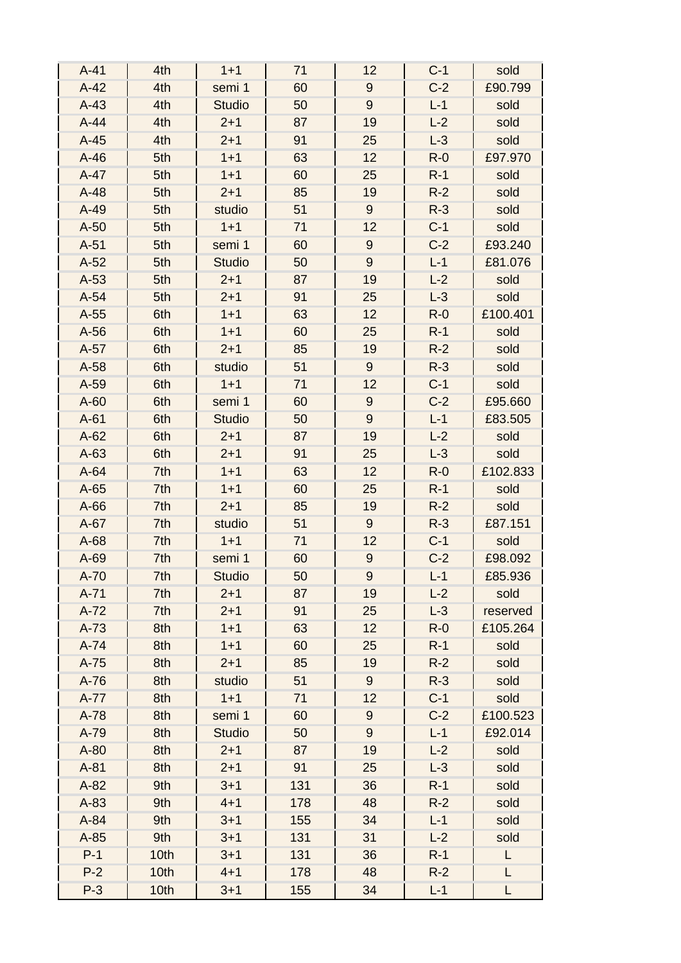| $A-41$ | 4th  | $1 + 1$       | 71  | 12               | $C-1$ | sold     |
|--------|------|---------------|-----|------------------|-------|----------|
| $A-42$ | 4th  | semi 1        | 60  | $9$              | $C-2$ | £90.799  |
| $A-43$ | 4th  | <b>Studio</b> | 50  | 9                | $L-1$ | sold     |
| $A-44$ | 4th  | $2 + 1$       | 87  | 19               | $L-2$ | sold     |
| $A-45$ | 4th  | $2 + 1$       | 91  | 25               | $L-3$ | sold     |
| $A-46$ | 5th  | $1 + 1$       | 63  | 12               | $R-0$ | £97.970  |
| $A-47$ | 5th  | $1 + 1$       | 60  | 25               | $R-1$ | sold     |
| $A-48$ | 5th  | $2 + 1$       | 85  | 19               | $R-2$ | sold     |
| $A-49$ | 5th  | studio        | 51  | 9                | $R-3$ | sold     |
| $A-50$ | 5th  | $1 + 1$       | 71  | 12               | $C-1$ | sold     |
| $A-51$ | 5th  | semi 1        | 60  | $\boldsymbol{9}$ | $C-2$ | £93.240  |
| $A-52$ | 5th  | <b>Studio</b> | 50  | $\overline{9}$   | $L-1$ | £81.076  |
| $A-53$ | 5th  | $2 + 1$       | 87  | 19               | $L-2$ | sold     |
| $A-54$ | 5th  | $2 + 1$       | 91  | 25               | $L-3$ | sold     |
| $A-55$ | 6th  | $1 + 1$       | 63  | 12               | $R-0$ | £100.401 |
| $A-56$ | 6th  | $1 + 1$       | 60  | 25               | $R-1$ | sold     |
| $A-57$ | 6th  | $2 + 1$       | 85  | 19               | $R-2$ | sold     |
| $A-58$ | 6th  | studio        | 51  | $9\,$            | $R-3$ | sold     |
| $A-59$ | 6th  | $1 + 1$       | 71  | 12               | $C-1$ | sold     |
| $A-60$ | 6th  | semi 1        | 60  | $\boldsymbol{9}$ | $C-2$ | £95.660  |
| $A-61$ | 6th  | <b>Studio</b> | 50  | $9\,$            | $L-1$ | £83.505  |
| $A-62$ | 6th  | $2 + 1$       | 87  | 19               | $L-2$ | sold     |
| $A-63$ | 6th  | $2 + 1$       | 91  | 25               | $L-3$ | sold     |
| $A-64$ | 7th  | $1 + 1$       | 63  | 12               | $R-0$ | £102.833 |
| $A-65$ | 7th  | $1 + 1$       | 60  | 25               | $R-1$ | sold     |
| $A-66$ | 7th  | $2 + 1$       | 85  | 19               | $R-2$ | sold     |
| $A-67$ | 7th  | studio        | 51  | 9                | $R-3$ | £87.151  |
| $A-68$ | 7th  | $1 + 1$       | 71  | 12               | $C-1$ | sold     |
| A-69   | 7th  | semi 1        | 60  | $\boldsymbol{9}$ | $C-2$ | £98.092  |
| A-70   | 7th  | <b>Studio</b> | 50  | 9                | $L-1$ | £85.936  |
| $A-71$ | 7th  | $2 + 1$       | 87  | 19               | $L-2$ | sold     |
| $A-72$ | 7th  | $2 + 1$       | 91  | 25               | $L-3$ | reserved |
| $A-73$ | 8th  | $1 + 1$       | 63  | 12               | $R-0$ | £105.264 |
| $A-74$ | 8th  | $1 + 1$       | 60  | 25               | $R-1$ | sold     |
| $A-75$ | 8th  | $2 + 1$       | 85  | 19               | $R-2$ | sold     |
| $A-76$ | 8th  | studio        | 51  | 9                | $R-3$ | sold     |
| $A-77$ | 8th  | $1 + 1$       | 71  | 12               | $C-1$ | sold     |
| A-78   | 8th  | semi 1        | 60  | $9\,$            | $C-2$ | £100.523 |
| A-79   | 8th  | <b>Studio</b> | 50  | 9                | $L-1$ | £92.014  |
| $A-80$ | 8th  | $2 + 1$       | 87  | 19               | $L-2$ | sold     |
| $A-81$ | 8th  | $2 + 1$       | 91  | 25               | $L-3$ | sold     |
| $A-82$ | 9th  | $3 + 1$       | 131 | 36               | $R-1$ | sold     |
| $A-83$ | 9th  | $4 + 1$       | 178 | 48               | $R-2$ | sold     |
| A-84   | 9th  | $3 + 1$       | 155 | 34               | $L-1$ | sold     |
| $A-85$ | 9th  | $3 + 1$       | 131 | 31               | $L-2$ | sold     |
| $P-1$  | 10th | $3 + 1$       | 131 | 36               | $R-1$ | L        |
| $P-2$  | 10th | $4 + 1$       | 178 | 48               | $R-2$ | L        |
| $P-3$  | 10th | $3 + 1$       | 155 | 34               | $L-1$ | L        |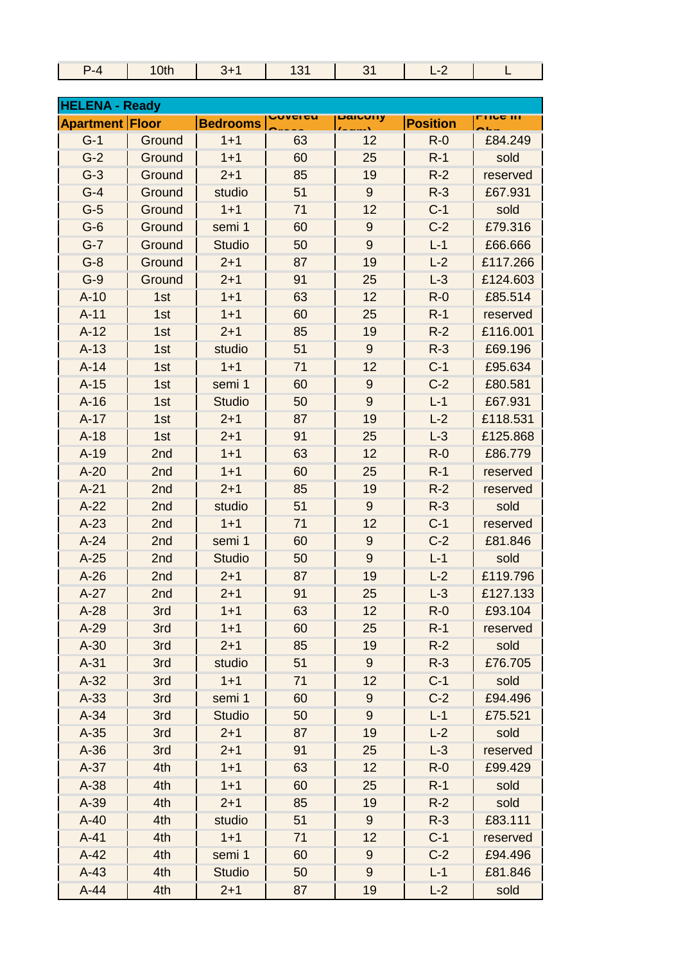| 0th<br>-4 |  | $\sim$<br>- - |  |
|-----------|--|---------------|--|

| <b>HELENA - Ready</b>  |        |                 |                       |                  |                 |                  |  |
|------------------------|--------|-----------------|-----------------------|------------------|-----------------|------------------|--|
| <b>Apartment Floor</b> |        | <b>Bedrooms</b> | JUV <del>c</del> i cu | <b>Daiuvily</b>  | <b>Position</b> | <u>LIIra III</u> |  |
| $G-1$                  | Ground | $1 + 1$         | 63                    | 12               | $R-0$           | £84.249          |  |
| $G-2$                  | Ground | $1 + 1$         | 60                    | 25               | $R-1$           | sold             |  |
| $G-3$                  | Ground | $2 + 1$         | 85                    | 19               | $R-2$           | reserved         |  |
| $G-4$                  | Ground | studio          | 51                    | $9\,$            | $R-3$           | £67.931          |  |
| $G-5$                  | Ground | $1 + 1$         | 71                    | 12               | $C-1$           | sold             |  |
| $G-6$                  | Ground | semi 1          | 60                    | 9                | $C-2$           | £79.316          |  |
| $G-7$                  | Ground | <b>Studio</b>   | 50                    | $\overline{9}$   | $L-1$           | £66.666          |  |
| $G-8$                  | Ground | $2 + 1$         | 87                    | 19               | $L-2$           | £117.266         |  |
| $G-9$                  | Ground | $2 + 1$         | 91                    | 25               | $L-3$           | £124.603         |  |
| $A-10$                 | 1st    | $1 + 1$         | 63                    | 12               | $R-0$           | £85.514          |  |
| $A-11$                 | 1st    | $1 + 1$         | 60                    | 25               | $R-1$           | reserved         |  |
| $A-12$                 | 1st    | $2 + 1$         | 85                    | 19               | $R-2$           | £116.001         |  |
| $A-13$                 | 1st    | studio          | 51                    | $9\,$            | $R-3$           | £69.196          |  |
| $A-14$                 | 1st    | $1 + 1$         | 71                    | 12               | $C-1$           | £95.634          |  |
| $A-15$                 | 1st    | semi 1          | 60                    | 9                | $C-2$           | £80.581          |  |
| $A-16$                 | 1st    | <b>Studio</b>   | 50                    | $\overline{9}$   | $L-1$           | £67.931          |  |
| $A-17$                 | 1st    | $2 + 1$         | 87                    | 19               | $L-2$           | £118.531         |  |
| $A-18$                 | 1st    | $2 + 1$         | 91                    | 25               | $L-3$           | £125.868         |  |
| $A-19$                 | 2nd    | $1 + 1$         | 63                    | 12               | $R-0$           | £86.779          |  |
| $A-20$                 | 2nd    | $1 + 1$         | 60                    | 25               | $R-1$           | reserved         |  |
| $A-21$                 | 2nd    | $2 + 1$         | 85                    | 19               | $R-2$           | reserved         |  |
| $A-22$                 | 2nd    | studio          | 51                    | $9\,$            | $R-3$           | sold             |  |
| $A-23$                 | 2nd    | $1 + 1$         | 71                    | 12               | $C-1$           | reserved         |  |
| $A-24$                 | 2nd    | semi 1          | 60                    | 9                | $C-2$           | £81.846          |  |
| $A-25$                 | 2nd    | <b>Studio</b>   | 50                    | 9                | $L-1$           | sold             |  |
| $A-26$                 | 2nd    | $2 + 1$         | 87                    | 19               | $L-2$           | £119.796         |  |
| $A-27$                 | 2nd    | $2 + 1$         | 91                    | 25               | $L-3$           | £127.133         |  |
| $A-28$                 | 3rd    | $1 + 1$         | 63                    | 12               | $R - 0$         | £93.104          |  |
| $A-29$                 | 3rd    | $1 + 1$         | 60                    | 25               | $R-1$           | reserved         |  |
| $A-30$                 | 3rd    | $2 + 1$         | 85                    | 19               | $R-2$           | sold             |  |
| $A-31$                 | 3rd    | studio          | 51                    | $9\,$            | $R-3$           | £76.705          |  |
| $A-32$                 | 3rd    | $1 + 1$         | 71                    | 12               | $C-1$           | sold             |  |
| $A-33$                 | 3rd    | semi 1          | 60                    | 9                | $C-2$           | £94.496          |  |
| $A-34$                 | 3rd    | <b>Studio</b>   | 50                    | 9                | $L - 1$         | £75.521          |  |
| $A-35$                 | 3rd    | $2 + 1$         | 87                    | 19               | $L-2$           | sold             |  |
| $A-36$                 | 3rd    | $2 + 1$         | 91                    | 25               | $L-3$           | reserved         |  |
| $A-37$                 | 4th    | $1 + 1$         | 63                    | 12               | $R-0$           | £99.429          |  |
| $A-38$                 | 4th    | $1 + 1$         | 60                    | 25               | $R-1$           | sold             |  |
| $A-39$                 | 4th    | $2 + 1$         | 85                    | 19               | $R-2$           | sold             |  |
| $A-40$                 | 4th    | studio          | 51                    | $9\,$            | $R-3$           | £83.111          |  |
| $A-41$                 | 4th    | $1 + 1$         | 71                    | 12               | $C-1$           | reserved         |  |
| $A-42$                 | 4th    | semi 1          | 60                    | $\boldsymbol{9}$ | $C-2$           | £94.496          |  |
| $A-43$                 | 4th    | <b>Studio</b>   | 50                    | $9\,$            | $L-1$           | £81.846          |  |
| $A-44$                 | 4th    | $2 + 1$         | 87                    | 19               | $L-2$           | sold             |  |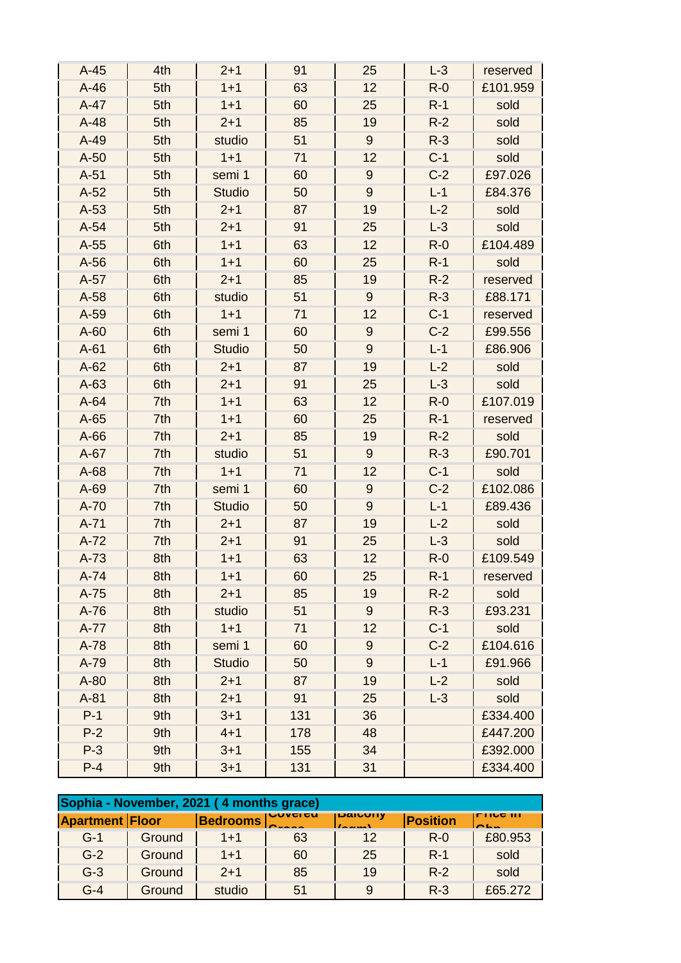| $A-45$ | 4th | $2 + 1$       | 91  | 25               | $L-3$ | reserved |
|--------|-----|---------------|-----|------------------|-------|----------|
| $A-46$ | 5th | $1 + 1$       | 63  | 12               | $R-0$ | £101.959 |
| $A-47$ | 5th | $1 + 1$       | 60  | 25               | $R-1$ | sold     |
| $A-48$ | 5th | $2 + 1$       | 85  | 19               | $R-2$ | sold     |
| $A-49$ | 5th | studio        | 51  | $9\,$            | $R-3$ | sold     |
| $A-50$ | 5th | $1 + 1$       | 71  | 12               | $C-1$ | sold     |
| $A-51$ | 5th | semi 1        | 60  | $\boldsymbol{9}$ | $C-2$ | £97.026  |
| $A-52$ | 5th | <b>Studio</b> | 50  | $9\,$            | $L-1$ | £84.376  |
| $A-53$ | 5th | $2 + 1$       | 87  | 19               | $L-2$ | sold     |
| $A-54$ | 5th | $2 + 1$       | 91  | 25               | $L-3$ | sold     |
| $A-55$ | 6th | $1 + 1$       | 63  | 12               | $R-0$ | £104.489 |
| $A-56$ | 6th | $1 + 1$       | 60  | 25               | $R-1$ | sold     |
| $A-57$ | 6th | $2 + 1$       | 85  | 19               | $R-2$ | reserved |
| $A-58$ | 6th | studio        | 51  | $9\,$            | $R-3$ | £88.171  |
| A-59   | 6th | $1 + 1$       | 71  | 12               | $C-1$ | reserved |
| $A-60$ | 6th | semi 1        | 60  | $9$              | $C-2$ | £99.556  |
| $A-61$ | 6th | <b>Studio</b> | 50  | $9\,$            | $L-1$ | £86.906  |
| $A-62$ | 6th | $2 + 1$       | 87  | 19               | $L-2$ | sold     |
| $A-63$ | 6th | $2 + 1$       | 91  | 25               | $L-3$ | sold     |
| $A-64$ | 7th | $1 + 1$       | 63  | 12               | $R-0$ | £107.019 |
| $A-65$ | 7th | $1 + 1$       | 60  | 25               | $R-1$ | reserved |
| $A-66$ | 7th | $2 + 1$       | 85  | 19               | $R-2$ | sold     |
| $A-67$ | 7th | studio        | 51  | $9\,$            | $R-3$ | £90.701  |
| $A-68$ | 7th | $1 + 1$       | 71  | 12               | $C-1$ | sold     |
| A-69   | 7th | semi 1        | 60  | $9$              | $C-2$ | £102.086 |
| A-70   | 7th | <b>Studio</b> | 50  | $9\,$            | $L-1$ | £89.436  |
| $A-71$ | 7th | $2 + 1$       | 87  | 19               | $L-2$ | sold     |
| $A-72$ | 7th | $2 + 1$       | 91  | 25               | $L-3$ | sold     |
| $A-73$ | 8th | $1 + 1$       | 63  | 12               | $R-0$ | £109.549 |
| $A-74$ | 8th | $1+1$         | 60  | 25               | $R-1$ | reserved |
| $A-75$ | 8th | $2 + 1$       | 85  | 19               | $R-2$ | sold     |
| $A-76$ | 8th | studio        | 51  | $9\,$            | $R-3$ | £93.231  |
| $A-77$ | 8th | $1 + 1$       | 71  | 12               | $C-1$ | sold     |
| $A-78$ | 8th | semi 1        | 60  | 9                | $C-2$ | £104.616 |
| A-79   | 8th | <b>Studio</b> | 50  | $\overline{9}$   | $L-1$ | £91.966  |
| $A-80$ | 8th | $2 + 1$       | 87  | 19               | $L-2$ | sold     |
| $A-81$ | 8th | $2 + 1$       | 91  | 25               | $L-3$ | sold     |
| $P-1$  | 9th | $3 + 1$       | 131 | 36               |       | £334.400 |
| $P-2$  | 9th | $4 + 1$       | 178 | 48               |       | £447.200 |
| $P-3$  | 9th | $3 + 1$       | 155 | 34               |       | £392.000 |
| $P-4$  | 9th | $3 + 1$       | 131 | 31               |       | £334.400 |

|                        |        | Sophia - November, 2021 (4 months grace) |                 |         |                 |                                       |
|------------------------|--------|------------------------------------------|-----------------|---------|-----------------|---------------------------------------|
| <b>Apartment Floor</b> |        | <b>Bedrooms</b>                          | <b>UUVUI GU</b> | Daicony | <b>Position</b> | LII <u>ng III</u><br>$\sim$ 1. $\sim$ |
| $G-1$                  | Ground | $1 + 1$                                  | 63              | 12      | $R - 0$         | £80.953                               |
| $G-2$                  | Ground | $1 + 1$                                  | 60              | 25      | $R-1$           | sold                                  |
| $G-3$                  | Ground | $2+1$                                    | 85              | 19      | $R-2$           | sold                                  |
| $G-4$                  | Ground | studio                                   | 51              | 9       | $R - 3$         | £65.272                               |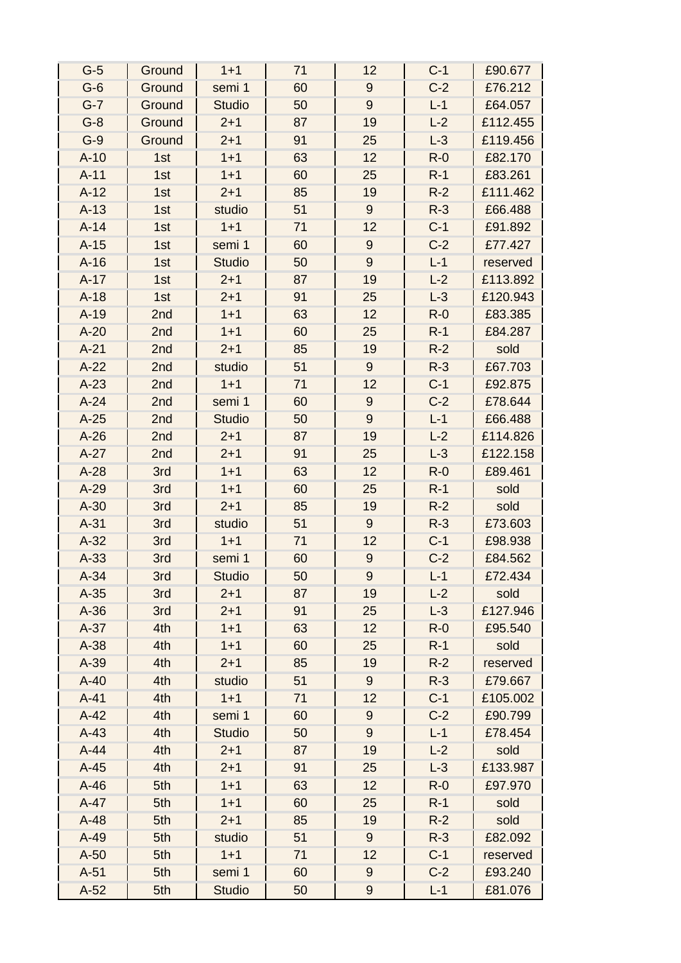| $G-5$  | Ground | $1 + 1$       | 71 | 12               | $C-1$   | £90.677  |
|--------|--------|---------------|----|------------------|---------|----------|
| $G-6$  | Ground | semi 1        | 60 | $\boldsymbol{9}$ | $C-2$   | £76.212  |
| $G-7$  | Ground | <b>Studio</b> | 50 | $9\,$            | $L-1$   | £64.057  |
| $G-8$  | Ground | $2 + 1$       | 87 | 19               | $L-2$   | £112.455 |
| $G-9$  | Ground | $2 + 1$       | 91 | 25               | $L-3$   | £119.456 |
| $A-10$ | 1st    | $1 + 1$       | 63 | 12               | $R-0$   | £82.170  |
| $A-11$ | 1st    | $1 + 1$       | 60 | 25               | $R-1$   | £83.261  |
| $A-12$ | 1st    | $2 + 1$       | 85 | 19               | $R-2$   | £111.462 |
| $A-13$ | 1st    | studio        | 51 | $9\,$            | $R-3$   | £66.488  |
| $A-14$ | 1st    | $1 + 1$       | 71 | 12               | $C-1$   | £91.892  |
| $A-15$ | 1st    | semi 1        | 60 | 9                | $C-2$   | £77.427  |
| $A-16$ | 1st    | <b>Studio</b> | 50 | $9\,$            | $L-1$   | reserved |
| $A-17$ | 1st    | $2 + 1$       | 87 | 19               | $L-2$   | £113.892 |
| $A-18$ | 1st    | $2 + 1$       | 91 | 25               | $L-3$   | £120.943 |
| $A-19$ | 2nd    | $1 + 1$       | 63 | 12               | $R-0$   | £83.385  |
| $A-20$ | 2nd    | $1 + 1$       | 60 | 25               | $R-1$   | £84.287  |
| $A-21$ | 2nd    | $2 + 1$       | 85 | 19               | $R-2$   | sold     |
| $A-22$ | 2nd    | studio        | 51 | $9\,$            | $R-3$   | £67.703  |
| $A-23$ | 2nd    | $1 + 1$       | 71 | 12               | $C-1$   | £92.875  |
| $A-24$ | 2nd    | semi 1        | 60 | $9\,$            | $C-2$   | £78.644  |
| $A-25$ | 2nd    | <b>Studio</b> | 50 | $9\,$            | $L-1$   | £66.488  |
| $A-26$ | 2nd    | $2 + 1$       | 87 | 19               | $L-2$   | £114.826 |
| $A-27$ | 2nd    | $2 + 1$       | 91 | 25               | $L-3$   | £122.158 |
| $A-28$ | 3rd    | $1 + 1$       | 63 | 12               | $R-0$   | £89.461  |
| $A-29$ | 3rd    | $1 + 1$       | 60 | 25               | $R-1$   | sold     |
| $A-30$ | 3rd    | $2 + 1$       | 85 | 19               | $R-2$   | sold     |
| $A-31$ | 3rd    | studio        | 51 | $9\,$            | $R-3$   | £73.603  |
| $A-32$ | 3rd    | $1 + 1$       | 71 | 12               | $C-1$   | £98.938  |
| $A-33$ | 3rd    | semi 1        | 60 | $\boldsymbol{9}$ | $C-2$   | £84.562  |
| $A-34$ | 3rd    | <b>Studio</b> | 50 | 9                | $L-1$   | £72.434  |
| $A-35$ | 3rd    | $2 + 1$       | 87 | 19               | $L-2$   | sold     |
| $A-36$ | 3rd    | $2 + 1$       | 91 | 25               | $L-3$   | £127.946 |
| $A-37$ | 4th    | $1 + 1$       | 63 | 12               | $R - 0$ | £95.540  |
| $A-38$ | 4th    | $1 + 1$       | 60 | 25               | $R-1$   | sold     |
| $A-39$ | 4th    | $2 + 1$       | 85 | 19               | $R-2$   | reserved |
| $A-40$ | 4th    | studio        | 51 | 9                | $R-3$   | £79.667  |
| $A-41$ | 4th    | $1 + 1$       | 71 | 12               | $C-1$   | £105.002 |
| $A-42$ | 4th    | semi 1        | 60 | 9                | $C-2$   | £90.799  |
| $A-43$ | 4th    | <b>Studio</b> | 50 | $\boldsymbol{9}$ | $L-1$   | £78.454  |
| $A-44$ | 4th    | $2 + 1$       | 87 | 19               | $L-2$   | sold     |
| $A-45$ | 4th    | $2 + 1$       | 91 | 25               | $L-3$   | £133.987 |
| $A-46$ | 5th    | $1 + 1$       | 63 | 12               | $R - 0$ | £97.970  |
| $A-47$ | 5th    | $1 + 1$       | 60 | 25               | $R-1$   | sold     |
| $A-48$ | 5th    | $2 + 1$       | 85 | 19               | $R-2$   | sold     |
| $A-49$ | 5th    | studio        | 51 | $9\,$            | $R-3$   | £82.092  |
| $A-50$ | 5th    | $1 + 1$       | 71 | 12               | $C-1$   | reserved |
| $A-51$ | 5th    | semi 1        | 60 | 9                | $C-2$   | £93.240  |
| $A-52$ | 5th    | <b>Studio</b> | 50 | 9                | $L-1$   | £81.076  |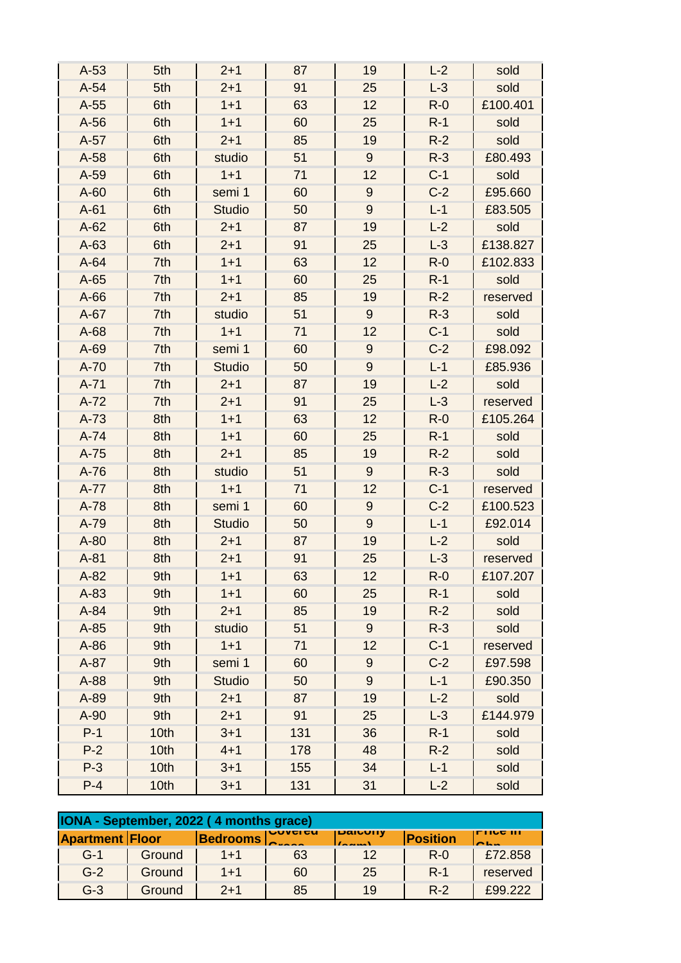| $A-53$ | 5th  | $2 + 1$       | 87  | 19               | $L-2$   | sold     |
|--------|------|---------------|-----|------------------|---------|----------|
| $A-54$ | 5th  | $2 + 1$       | 91  | 25               | $L-3$   | sold     |
| $A-55$ | 6th  | $1 + 1$       | 63  | 12               | $R - 0$ | £100.401 |
| $A-56$ | 6th  | $1 + 1$       | 60  | 25               | $R-1$   | sold     |
| $A-57$ | 6th  | $2 + 1$       | 85  | 19               | $R-2$   | sold     |
| $A-58$ | 6th  | studio        | 51  | 9                | $R-3$   | £80.493  |
| A-59   | 6th  | $1 + 1$       | 71  | 12               | $C-1$   | sold     |
| $A-60$ | 6th  | semi 1        | 60  | $9\,$            | $C-2$   | £95.660  |
| $A-61$ | 6th  | <b>Studio</b> | 50  | $\boldsymbol{9}$ | $L-1$   | £83.505  |
| $A-62$ | 6th  | $2 + 1$       | 87  | 19               | $L-2$   | sold     |
| $A-63$ | 6th  | $2 + 1$       | 91  | 25               | $L-3$   | £138.827 |
| $A-64$ | 7th  | $1 + 1$       | 63  | 12               | $R-0$   | £102.833 |
| $A-65$ | 7th  | $1 + 1$       | 60  | 25               | $R-1$   | sold     |
| $A-66$ | 7th  | $2 + 1$       | 85  | 19               | $R-2$   | reserved |
| $A-67$ | 7th  | studio        | 51  | $9\,$            | $R-3$   | sold     |
| $A-68$ | 7th  | $1 + 1$       | 71  | 12               | $C-1$   | sold     |
| A-69   | 7th  | semi 1        | 60  | $9\,$            | $C-2$   | £98.092  |
| A-70   | 7th  | <b>Studio</b> | 50  | $\boldsymbol{9}$ | $L-1$   | £85.936  |
| $A-71$ | 7th  | $2 + 1$       | 87  | 19               | $L-2$   | sold     |
| $A-72$ | 7th  | $2 + 1$       | 91  | 25               | $L-3$   | reserved |
| $A-73$ | 8th  | $1 + 1$       | 63  | 12               | $R-0$   | £105.264 |
| $A-74$ | 8th  | $1 + 1$       | 60  | 25               | $R-1$   | sold     |
| $A-75$ | 8th  | $2 + 1$       | 85  | 19               | $R-2$   | sold     |
| $A-76$ | 8th  | studio        | 51  | $9\,$            | $R-3$   | sold     |
| A-77   | 8th  | $1 + 1$       | 71  | 12               | $C-1$   | reserved |
| $A-78$ | 8th  | semi 1        | 60  | $9\,$            | $C-2$   | £100.523 |
| A-79   | 8th  | <b>Studio</b> | 50  | $\boldsymbol{9}$ | $L-1$   | £92.014  |
| $A-80$ | 8th  | $2 + 1$       | 87  | 19               | $L-2$   | sold     |
| $A-81$ | 8th  | $2 + 1$       | 91  | 25               | $L-3$   | reserved |
| $A-82$ | 9th  | $1 + 1$       | 63  | 12               | $R-0$   | £107.207 |
| $A-83$ | 9th  | $1 + 1$       | 60  | 25               | $R-1$   | sold     |
| $A-84$ | 9th  | $2 + 1$       | 85  | 19               | $R-2$   | sold     |
| $A-85$ | 9th  | studio        | 51  | $9\,$            | $R-3$   | sold     |
| $A-86$ | 9th  | $1 + 1$       | 71  | 12               | $C-1$   | reserved |
| $A-87$ | 9th  | semi 1        | 60  | $9$              | $C-2$   | £97.598  |
| A-88   | 9th  | <b>Studio</b> | 50  | 9                | $L-1$   | £90.350  |
| A-89   | 9th  | $2 + 1$       | 87  | 19               | $L-2$   | sold     |
| $A-90$ | 9th  | $2 + 1$       | 91  | 25               | $L-3$   | £144.979 |
| $P-1$  | 10th | $3 + 1$       | 131 | 36               | $R-1$   | sold     |
| $P-2$  | 10th | $4 + 1$       | 178 | 48               | $R-2$   | sold     |
| $P-3$  | 10th | $3 + 1$       | 155 | 34               | $L-1$   | sold     |
| $P-4$  | 10th | $3 + 1$       | 131 | 31               | $L-2$   | sold     |

|                        |        | IONA - September, 2022 (4 months grace) |                 |                 |                 |                                            |
|------------------------|--------|-----------------------------------------|-----------------|-----------------|-----------------|--------------------------------------------|
| <b>Apartment Floor</b> |        | <b>Bedrooms</b>                         | <b>IUUVUIUU</b> | <b>DaitUlly</b> | <b>Position</b> | IFTIV <del>c</del> III<br>$\sim$ 1. $\sim$ |
| $G-1$                  | Ground | $1 + 1$                                 | 63              | 12              | $R - 0$         | £72.858                                    |
| $G-2$                  | Ground | $1 + 1$                                 | 60              | 25              | $R-1$           | reserved                                   |
| $G-3$                  | Ground | $2+1$                                   | 85              | 19              | $R-2$           | £99.222                                    |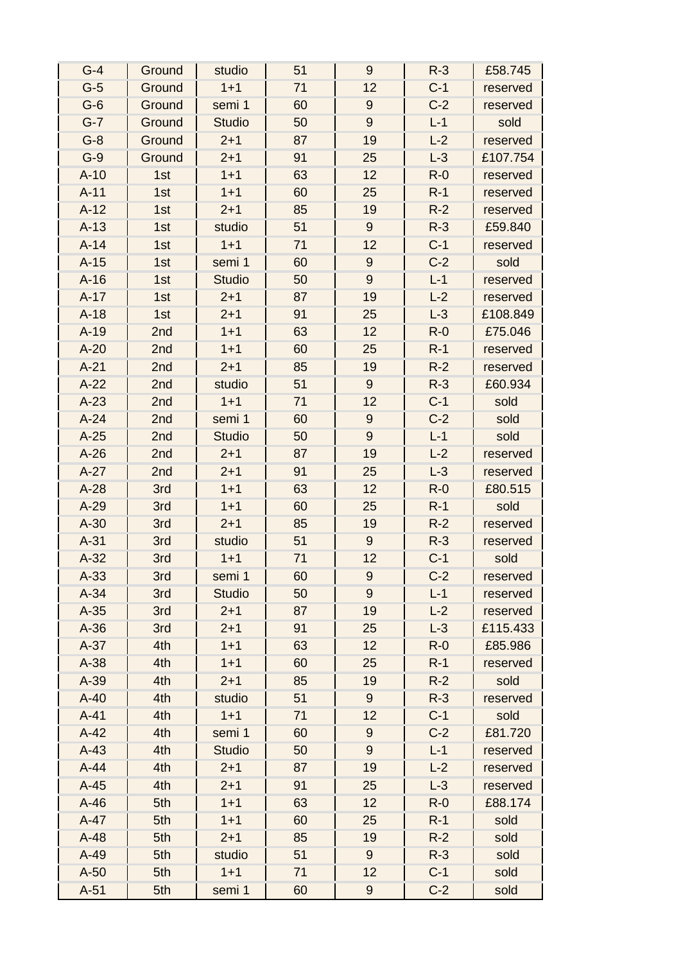| $G-4$  | Ground | studio        | 51 | $9\,$            | $R-3$ | £58.745  |
|--------|--------|---------------|----|------------------|-------|----------|
| $G-5$  | Ground | $1 + 1$       | 71 | 12               | $C-1$ | reserved |
| $G-6$  | Ground | semi 1        | 60 | $9\,$            | $C-2$ | reserved |
| $G-7$  | Ground | <b>Studio</b> | 50 | 9                | $L-1$ | sold     |
| $G-8$  | Ground | $2 + 1$       | 87 | 19               | $L-2$ | reserved |
| $G-9$  | Ground | $2 + 1$       | 91 | 25               | $L-3$ | £107.754 |
| $A-10$ | 1st    | $1 + 1$       | 63 | 12               | $R-0$ | reserved |
| $A-11$ | 1st    | $1 + 1$       | 60 | 25               | $R-1$ | reserved |
| $A-12$ | 1st    | $2 + 1$       | 85 | 19               | $R-2$ | reserved |
| $A-13$ | 1st    | studio        | 51 | $9\,$            | $R-3$ | £59.840  |
| $A-14$ | 1st    | $1 + 1$       | 71 | 12               | $C-1$ | reserved |
| $A-15$ | 1st    | semi 1        | 60 | $9\,$            | $C-2$ | sold     |
| $A-16$ | 1st    | <b>Studio</b> | 50 | $9\,$            | $L-1$ | reserved |
| $A-17$ | 1st    | $2 + 1$       | 87 | 19               | $L-2$ | reserved |
| $A-18$ | 1st    | $2 + 1$       | 91 | 25               | $L-3$ | £108.849 |
| $A-19$ | 2nd    | $1 + 1$       | 63 | 12               | $R-0$ | £75.046  |
| $A-20$ | 2nd    | $1 + 1$       | 60 | 25               | $R-1$ | reserved |
| $A-21$ | 2nd    | $2 + 1$       | 85 | 19               | $R-2$ | reserved |
| $A-22$ | 2nd    | studio        | 51 | $9\,$            | $R-3$ | £60.934  |
| $A-23$ | 2nd    | $1 + 1$       | 71 | 12               | $C-1$ | sold     |
| $A-24$ | 2nd    | semi 1        | 60 | $9\,$            | $C-2$ | sold     |
| $A-25$ | 2nd    | <b>Studio</b> | 50 | 9                | $L-1$ | sold     |
| $A-26$ | 2nd    | $2 + 1$       | 87 | 19               | $L-2$ | reserved |
| $A-27$ | 2nd    | $2 + 1$       | 91 | 25               | $L-3$ | reserved |
| $A-28$ | 3rd    | $1 + 1$       | 63 | 12               | $R-0$ | £80.515  |
| $A-29$ | 3rd    | $1 + 1$       | 60 | 25               | $R-1$ | sold     |
| $A-30$ | 3rd    | $2 + 1$       | 85 | 19               | $R-2$ | reserved |
| $A-31$ | 3rd    | studio        | 51 | $9\,$            | $R-3$ | reserved |
| $A-32$ | 3rd    | $1 + 1$       | 71 | 12               | $C-1$ | sold     |
| $A-33$ | 3rd    | semi 1        | 60 | 9                | $C-2$ | reserved |
| $A-34$ | 3rd    | <b>Studio</b> | 50 | 9                | $L-1$ | reserved |
| $A-35$ | 3rd    | $2 + 1$       | 87 | 19               | $L-2$ | reserved |
| $A-36$ | 3rd    | $2 + 1$       | 91 | 25               | $L-3$ | £115.433 |
| $A-37$ | 4th    | $1 + 1$       | 63 | 12               | $R-0$ | £85.986  |
| $A-38$ | 4th    | $1 + 1$       | 60 | 25               | $R-1$ | reserved |
| $A-39$ | 4th    | $2 + 1$       | 85 | 19               | $R-2$ | sold     |
| $A-40$ | 4th    | studio        | 51 | $9\,$            | $R-3$ | reserved |
| $A-41$ | 4th    | $1 + 1$       | 71 | 12               | $C-1$ | sold     |
| $A-42$ | 4th    | semi 1        | 60 | $9$              | $C-2$ | £81.720  |
| $A-43$ | 4th    | <b>Studio</b> | 50 | 9                | $L-1$ | reserved |
| $A-44$ | 4th    | $2 + 1$       | 87 | 19               | $L-2$ | reserved |
| $A-45$ | 4th    | $2 + 1$       | 91 | 25               | $L-3$ | reserved |
| $A-46$ | 5th    | $1 + 1$       | 63 | 12               | $R-0$ | £88.174  |
| $A-47$ | 5th    | $1 + 1$       | 60 | 25               | $R-1$ | sold     |
| $A-48$ | 5th    | $2 + 1$       | 85 | 19               | $R-2$ | sold     |
| $A-49$ | 5th    | studio        | 51 | $9\,$            | $R-3$ | sold     |
| $A-50$ | 5th    | $1 + 1$       | 71 | 12               | $C-1$ | sold     |
| $A-51$ | 5th    | semi 1        | 60 | $\boldsymbol{9}$ | $C-2$ | sold     |
|        |        |               |    |                  |       |          |